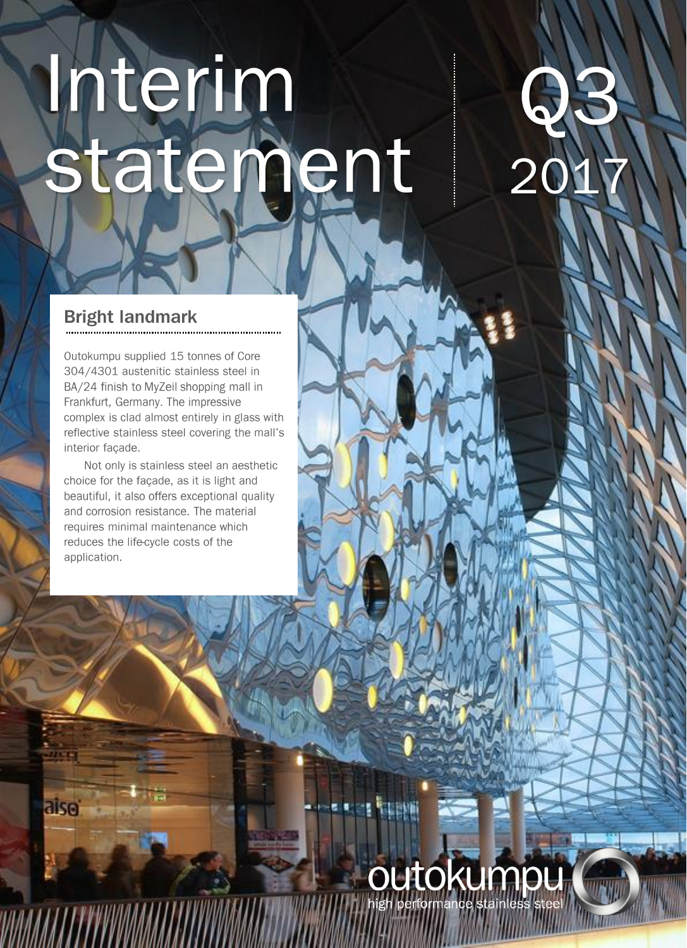# Interim statement

# H 20

## **Bright landmark**

aisei

*VUMMITTYYYYYMM* 

Outokumpu supplied 15 tonnes of Core 304/4301 austenitic stainless steel in BA/24 finish to MyZeil shopping mall in Frankfurt, Germany. The impressive complex is clad almost entirely in glass with reflective stainless steel covering the mall's interior façade.

Not only is stainless steel an aesthetic choice for the façade, as it is light and beautiful, it also offers exceptional quality and corrosion resistance. The material requires minimal maintenance which reduces the life-cycle costs of the application.

# OUtokumpu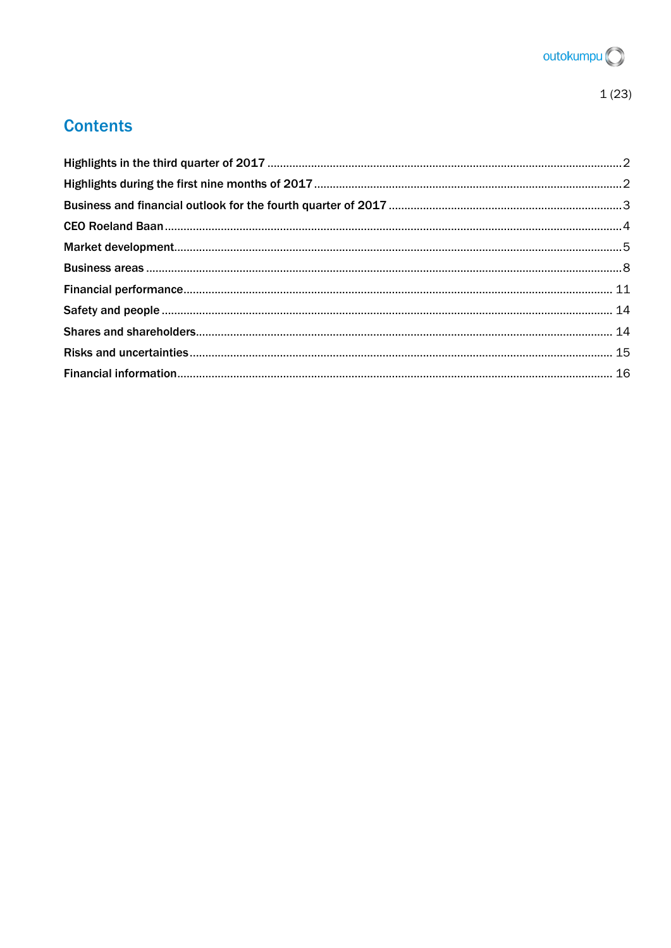

## **Contents**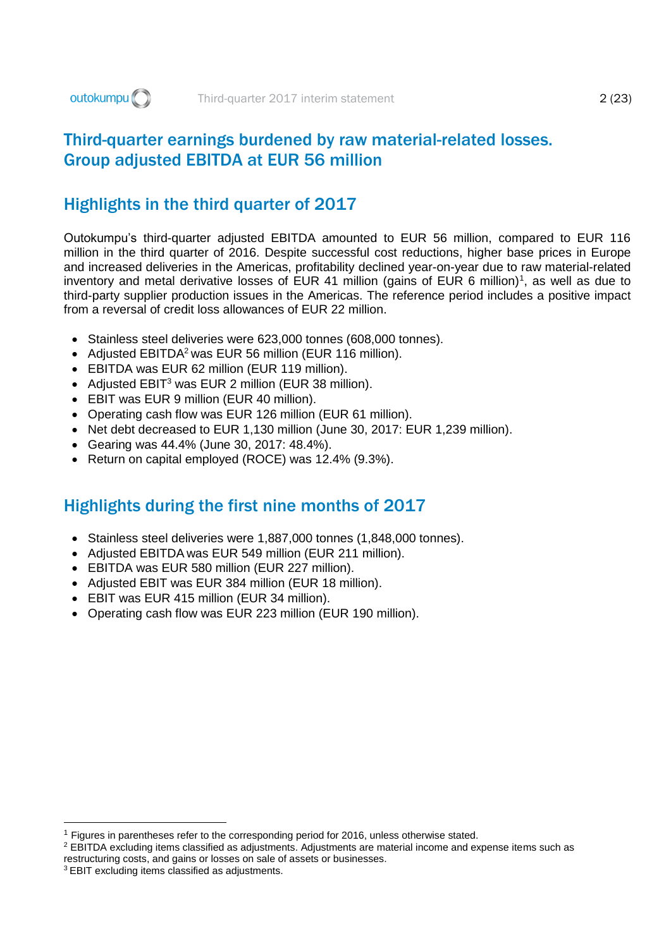## Third-quarter earnings burdened by raw material-related losses. Group adjusted EBITDA at EUR 56 million

## <span id="page-2-0"></span>Highlights in the third quarter of 2017

Outokumpu's third-quarter adjusted EBITDA amounted to EUR 56 million, compared to EUR 116 million in the third quarter of 2016. Despite successful cost reductions, higher base prices in Europe and increased deliveries in the Americas, profitability declined year-on-year due to raw material-related inventory and metal derivative losses of EUR 41 million (gains of EUR 6 million)<sup>1</sup>, as well as due to third-party supplier production issues in the Americas. The reference period includes a positive impact from a reversal of credit loss allowances of EUR 22 million.

- Stainless steel deliveries were 623,000 tonnes (608,000 tonnes).
- Adjusted EBITDA<sup>2</sup> was EUR 56 million (EUR 116 million).
- EBITDA was EUR 62 million (EUR 119 million).
- Adjusted EBIT<sup>3</sup> was EUR 2 million (EUR 38 million).
- EBIT was EUR 9 million (EUR 40 million).
- Operating cash flow was EUR 126 million (EUR 61 million).
- Net debt decreased to EUR 1,130 million (June 30, 2017: EUR 1,239 million).
- Gearing was 44.4% (June 30, 2017: 48.4%).
- Return on capital employed (ROCE) was 12.4% (9.3%).

## <span id="page-2-1"></span>Highlights during the first nine months of 2017

- Stainless steel deliveries were 1,887,000 tonnes (1,848,000 tonnes).
- Adjusted EBITDA was EUR 549 million (EUR 211 million).
- EBITDA was EUR 580 million (EUR 227 million).
- Adjusted EBIT was EUR 384 million (EUR 18 million).
- EBIT was EUR 415 million (EUR 34 million).
- Operating cash flow was EUR 223 million (EUR 190 million).

-

<sup>1</sup> Figures in parentheses refer to the corresponding period for 2016, unless otherwise stated.

<sup>2</sup> EBITDA excluding items classified as adjustments. Adjustments are material income and expense items such as restructuring costs, and gains or losses on sale of assets or businesses.

<sup>3</sup> EBIT excluding items classified as adjustments.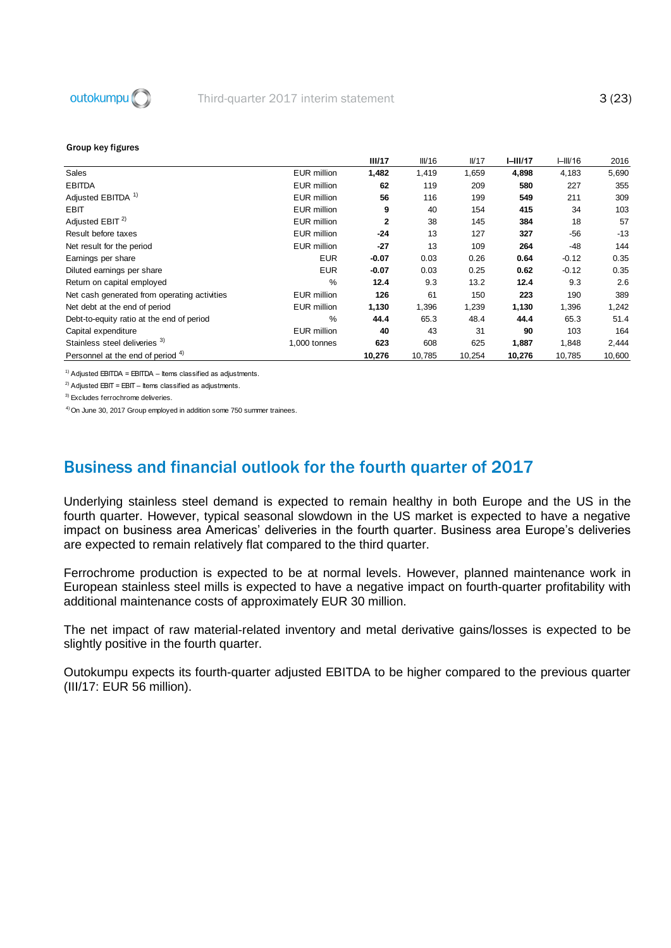

|                                              |                    | III/17       | III/16 | IVI7   | $I-III/17$ | H <sub>III</sub> /16 | 2016   |
|----------------------------------------------|--------------------|--------------|--------|--------|------------|----------------------|--------|
| Sales                                        | <b>EUR</b> million | 1,482        | 1,419  | 1,659  | 4,898      | 4,183                | 5,690  |
| <b>EBITDA</b>                                | <b>EUR</b> million | 62           | 119    | 209    | 580        | 227                  | 355    |
| Adjusted EBITDA <sup>1)</sup>                | <b>EUR</b> million | 56           | 116    | 199    | 549        | 211                  | 309    |
| <b>EBIT</b>                                  | <b>EUR</b> million | 9            | 40     | 154    | 415        | 34                   | 103    |
| Adjusted EBIT <sup>2)</sup>                  | <b>EUR</b> million | $\mathbf{2}$ | 38     | 145    | 384        | 18                   | 57     |
| Result before taxes                          | <b>EUR</b> million | $-24$        | 13     | 127    | 327        | $-56$                | $-13$  |
| Net result for the period                    | <b>EUR</b> million | $-27$        | 13     | 109    | 264        | $-48$                | 144    |
| Earnings per share                           | <b>EUR</b>         | $-0.07$      | 0.03   | 0.26   | 0.64       | $-0.12$              | 0.35   |
| Diluted earnings per share                   | <b>EUR</b>         | $-0.07$      | 0.03   | 0.25   | 0.62       | $-0.12$              | 0.35   |
| Return on capital employed                   | %                  | 12.4         | 9.3    | 13.2   | 12.4       | 9.3                  | 2.6    |
| Net cash generated from operating activities | <b>EUR</b> million | 126          | 61     | 150    | 223        | 190                  | 389    |
| Net debt at the end of period                | <b>EUR</b> million | 1,130        | 1,396  | 1,239  | 1,130      | 1,396                | 1,242  |
| Debt-to-equity ratio at the end of period    | %                  | 44.4         | 65.3   | 48.4   | 44.4       | 65.3                 | 51.4   |
| Capital expenditure                          | <b>EUR</b> million | 40           | 43     | 31     | 90         | 103                  | 164    |
| Stainless steel deliveries 3)                | 1,000 tonnes       | 623          | 608    | 625    | 1,887      | 1,848                | 2,444  |
| Personnel at the end of period <sup>4)</sup> |                    | 10,276       | 10,785 | 10,254 | 10,276     | 10,785               | 10,600 |

 $1)$  Adjusted EBITDA = EBITDA – Items classified as adjustments.

 $^{2)}$  Adjusted EBIT = EBIT – Items classified as adjustments.

3) Excludes ferrochrome deliveries.

<sup>4)</sup> On June 30, 2017 Group employed in addition some 750 summer trainees.

## <span id="page-3-0"></span>Business and financial outlook for the fourth quarter of 2017

Underlying stainless steel demand is expected to remain healthy in both Europe and the US in the fourth quarter. However, typical seasonal slowdown in the US market is expected to have a negative impact on business area Americas' deliveries in the fourth quarter. Business area Europe's deliveries are expected to remain relatively flat compared to the third quarter.

Ferrochrome production is expected to be at normal levels. However, planned maintenance work in European stainless steel mills is expected to have a negative impact on fourth-quarter profitability with additional maintenance costs of approximately EUR 30 million.

The net impact of raw material-related inventory and metal derivative gains/losses is expected to be slightly positive in the fourth quarter.

Outokumpu expects its fourth-quarter adjusted EBITDA to be higher compared to the previous quarter (III/17: EUR 56 million).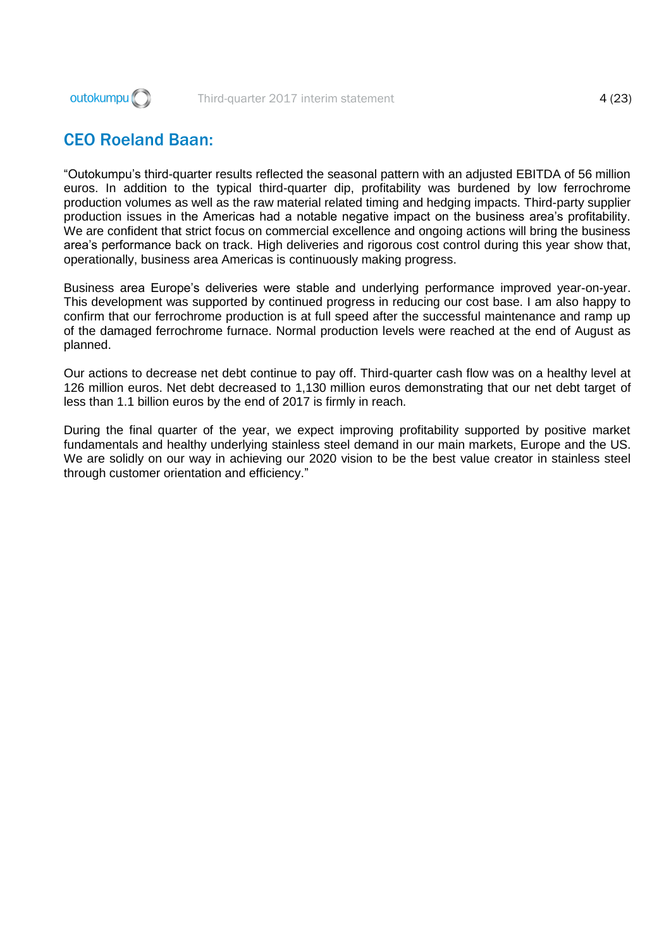

## <span id="page-4-0"></span>CEO Roeland Baan:

"Outokumpu's third-quarter results reflected the seasonal pattern with an adjusted EBITDA of 56 million euros. In addition to the typical third-quarter dip, profitability was burdened by low ferrochrome production volumes as well as the raw material related timing and hedging impacts. Third-party supplier production issues in the Americas had a notable negative impact on the business area's profitability. We are confident that strict focus on commercial excellence and ongoing actions will bring the business area's performance back on track. High deliveries and rigorous cost control during this year show that, operationally, business area Americas is continuously making progress.

Business area Europe's deliveries were stable and underlying performance improved year-on-year. This development was supported by continued progress in reducing our cost base. I am also happy to confirm that our ferrochrome production is at full speed after the successful maintenance and ramp up of the damaged ferrochrome furnace. Normal production levels were reached at the end of August as planned.

Our actions to decrease net debt continue to pay off. Third-quarter cash flow was on a healthy level at 126 million euros. Net debt decreased to 1,130 million euros demonstrating that our net debt target of less than 1.1 billion euros by the end of 2017 is firmly in reach.

During the final quarter of the year, we expect improving profitability supported by positive market fundamentals and healthy underlying stainless steel demand in our main markets, Europe and the US. We are solidly on our way in achieving our 2020 vision to be the best value creator in stainless steel through customer orientation and efficiency."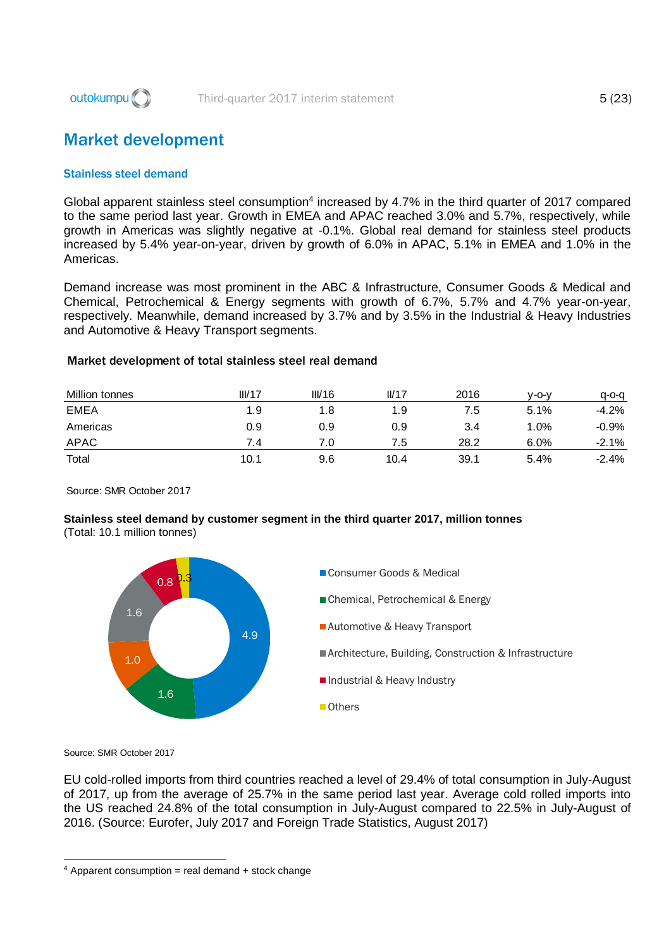

## <span id="page-5-0"></span>Market development

#### Stainless steel demand

Global apparent stainless steel consumption<sup>4</sup> increased by 4.7% in the third quarter of 2017 compared to the same period last year. Growth in EMEA and APAC reached 3.0% and 5.7%, respectively, while growth in Americas was slightly negative at -0.1%. Global real demand for stainless steel products increased by 5.4% year-on-year, driven by growth of 6.0% in APAC, 5.1% in EMEA and 1.0% in the Americas.

Demand increase was most prominent in the ABC & Infrastructure, Consumer Goods & Medical and Chemical, Petrochemical & Energy segments with growth of 6.7%, 5.7% and 4.7% year-on-year, respectively. Meanwhile, demand increased by 3.7% and by 3.5% in the Industrial & Heavy Industries and Automotive & Heavy Transport segments.

| Million tonnes | III/17 | III/16 | II/17 | 2016 | v-o-v   | a-o-a   |
|----------------|--------|--------|-------|------|---------|---------|
| <b>EMEA</b>    | 1.9    | 1.8    | 1.9   | 7.5  | 5.1%    | $-4.2%$ |
| Americas       | 0.9    | 0.9    | 0.9   | 3.4  | $1.0\%$ | $-0.9%$ |
| <b>APAC</b>    | 7.4    | 7.0    | 7.5   | 28.2 | 6.0%    | $-2.1%$ |
| Total          | 10.1   | 9.6    | 10.4  | 39.1 | 5.4%    | $-2.4%$ |

Source: SMR October 2017

## **Stainless steel demand by customer segment in the third quarter 2017, million tonnes**

(Total: 10.1 million tonnes)



Source: SMR October 2017

-

EU cold-rolled imports from third countries reached a level of 29.4% of total consumption in July-August of 2017, up from the average of 25.7% in the same period last year. Average cold rolled imports into the US reached 24.8% of the total consumption in July-August compared to 22.5% in July-August of 2016. (Source: Eurofer, July 2017 and Foreign Trade Statistics, August 2017)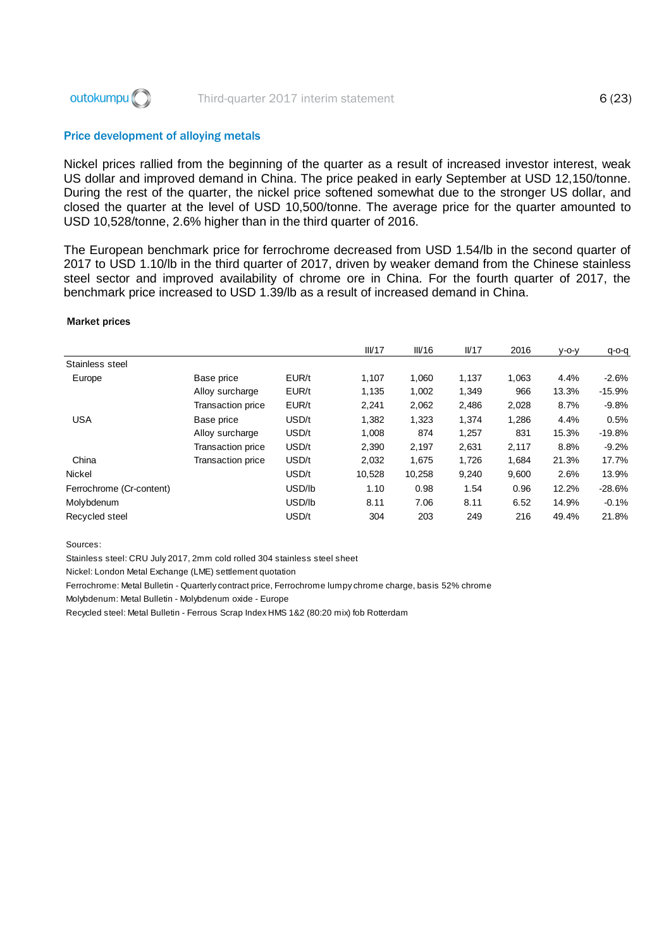

#### Price development of alloying metals

Nickel prices rallied from the beginning of the quarter as a result of increased investor interest, weak US dollar and improved demand in China. The price peaked in early September at USD 12,150/tonne. During the rest of the quarter, the nickel price softened somewhat due to the stronger US dollar, and closed the quarter at the level of USD 10,500/tonne. The average price for the quarter amounted to USD 10,528/tonne, 2.6% higher than in the third quarter of 2016.

The European benchmark price for ferrochrome decreased from USD 1.54/lb in the second quarter of 2017 to USD 1.10/lb in the third quarter of 2017, driven by weaker demand from the Chinese stainless steel sector and improved availability of chrome ore in China. For the fourth quarter of 2017, the benchmark price increased to USD 1.39/lb as a result of increased demand in China.

#### Market prices

|                          |                          |        | III/17 | III/16 | I <sub>17</sub> | 2016  | $V-O-V$ | $q$ -o-q |
|--------------------------|--------------------------|--------|--------|--------|-----------------|-------|---------|----------|
| Stainless steel          |                          |        |        |        |                 |       |         |          |
| Europe                   | Base price               | EUR/t  | 1,107  | 1,060  | 1,137           | 1,063 | 4.4%    | $-2.6%$  |
|                          | Alloy surcharge          | EUR/t  | 1.135  | 1,002  | 1,349           | 966   | 13.3%   | $-15.9%$ |
|                          | Transaction price        | EUR/t  | 2,241  | 2,062  | 2,486           | 2,028 | 8.7%    | $-9.8%$  |
| <b>USA</b>               | Base price               | USD/t  | 1.382  | 1,323  | 1,374           | 1,286 | 4.4%    | 0.5%     |
|                          | Alloy surcharge          | USD/t  | 1,008  | 874    | 1,257           | 831   | 15.3%   | $-19.8%$ |
|                          | Transaction price        | USD/t  | 2,390  | 2,197  | 2,631           | 2,117 | 8.8%    | $-9.2%$  |
| China                    | <b>Transaction price</b> | USD/t  | 2,032  | 1,675  | 1,726           | 1,684 | 21.3%   | 17.7%    |
| <b>Nickel</b>            |                          | USD/t  | 10,528 | 10,258 | 9,240           | 9,600 | 2.6%    | 13.9%    |
| Ferrochrome (Cr-content) |                          | USD/lb | 1.10   | 0.98   | 1.54            | 0.96  | 12.2%   | $-28.6%$ |
| Molybdenum               |                          | USD/lb | 8.11   | 7.06   | 8.11            | 6.52  | 14.9%   | $-0.1%$  |
| Recycled steel           |                          | USD/t  | 304    | 203    | 249             | 216   | 49.4%   | 21.8%    |

Sources:

Stainless steel: CRU July 2017, 2mm cold rolled 304 stainless steel sheet

Nickel: London Metal Exchange (LME) settlement quotation

Ferrochrome: Metal Bulletin - Quarterly contract price, Ferrochrome lumpy chrome charge, basis 52% chrome

Molybdenum: Metal Bulletin - Molybdenum oxide - Europe

Recycled steel: Metal Bulletin - Ferrous Scrap Index HMS 1&2 (80:20 mix) fob Rotterdam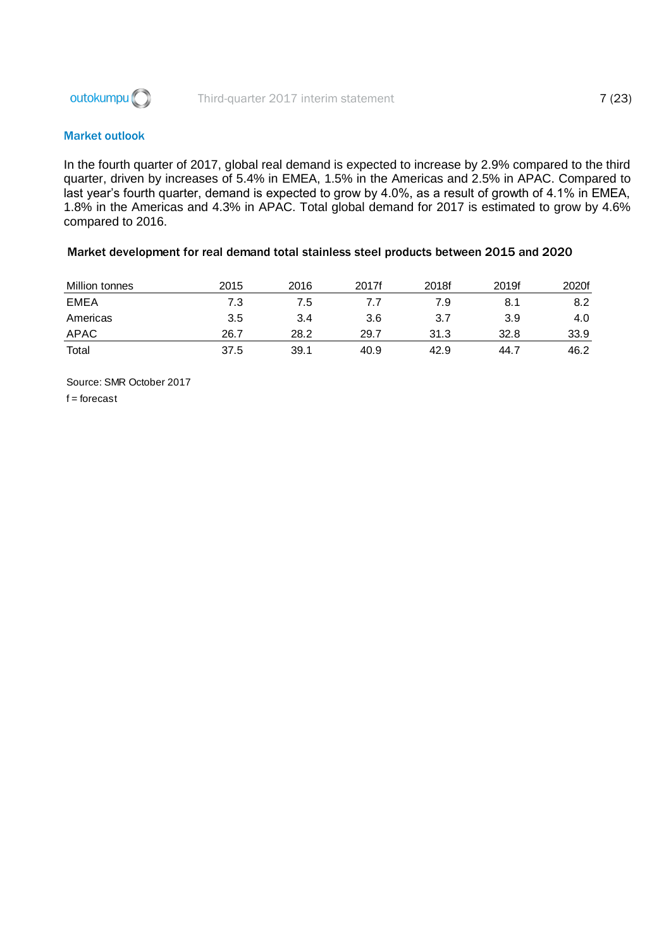

#### Market outlook

In the fourth quarter of 2017, global real demand is expected to increase by 2.9% compared to the third quarter, driven by increases of 5.4% in EMEA, 1.5% in the Americas and 2.5% in APAC. Compared to last year's fourth quarter, demand is expected to grow by 4.0%, as a result of growth of 4.1% in EMEA, 1.8% in the Americas and 4.3% in APAC. Total global demand for 2017 is estimated to grow by 4.6% compared to 2016.

#### Market development for real demand total stainless steel products between 2015 and 2020

| Million tonnes | 2015 | 2016 | 2017f | 2018f | 2019f | 2020f |
|----------------|------|------|-------|-------|-------|-------|
| <b>EMEA</b>    | 7.3  | 7.5  |       | 7.9   | 8.1   | 8.2   |
| Americas       | 3.5  | 3.4  | 3.6   | 3.7   | 3.9   | 4.0   |
| APAC           | 26.7 | 28.2 | 29.7  | 31.3  | 32.8  | 33.9  |
| Total          | 37.5 | 39.1 | 40.9  | 42.9  | 44.7  | 46.2  |

Source: SMR October 2017  $f =$  forecast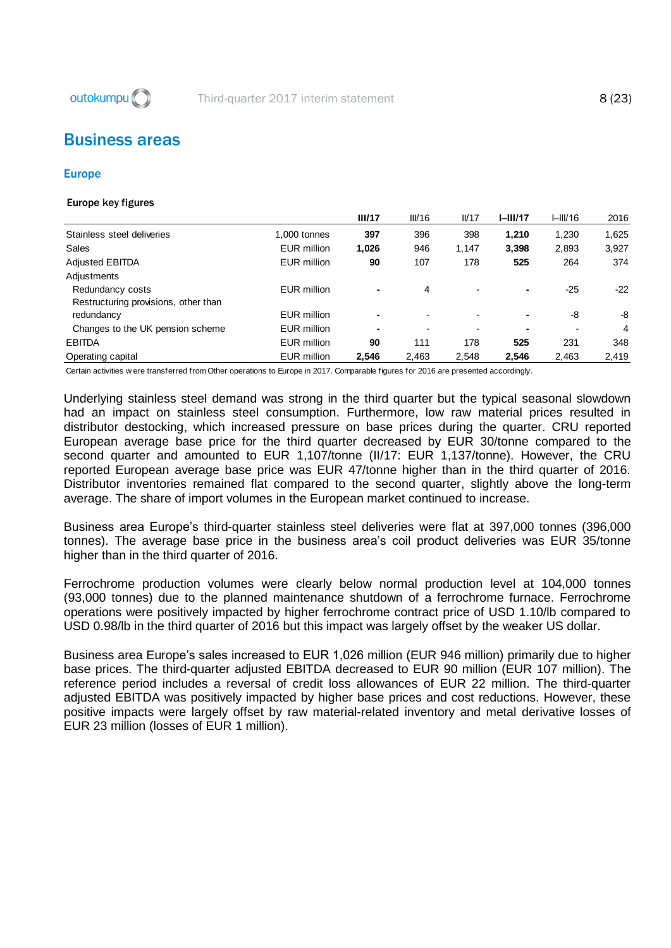

## <span id="page-8-0"></span>Business areas

#### Europe

#### Europe key figures

|                                      |              | III/17         | III/16 | IVI7                     | $I-III/17$ | HIII/16 | 2016  |
|--------------------------------------|--------------|----------------|--------|--------------------------|------------|---------|-------|
| Stainless steel deliveries           | 1,000 tonnes | 397            | 396    | 398                      | 1.210      | 1,230   | 1,625 |
| Sales                                | EUR million  | 1,026          | 946    | 1.147                    | 3,398      | 2,893   | 3,927 |
| <b>Adjusted EBITDA</b>               | EUR million  | 90             | 107    | 178                      | 525        | 264     | 374   |
| Adjustments                          |              |                |        |                          |            |         |       |
| Redundancy costs                     | EUR million  | $\blacksquare$ | 4      | $\blacksquare$           | ۰          | $-25$   | $-22$ |
| Restructuring provisions, other than |              |                |        |                          |            |         |       |
| redundancy                           | EUR million  | $\blacksquare$ |        | $\overline{\phantom{0}}$ |            | -8      | -8    |
| Changes to the UK pension scheme     | EUR million  | ۰              |        | $\blacksquare$           |            | ٠       | 4     |
| <b>EBITDA</b>                        | EUR million  | 90             | 111    | 178                      | 525        | 231     | 348   |
| Operating capital                    | EUR million  | 2,546          | 2,463  | 2,548                    | 2,546      | 2,463   | 2,419 |

Certain activities w ere transferred from Other operations to Europe in 2017. Comparable figures for 2016 are presented accordingly.

Underlying stainless steel demand was strong in the third quarter but the typical seasonal slowdown had an impact on stainless steel consumption. Furthermore, low raw material prices resulted in distributor destocking, which increased pressure on base prices during the quarter. CRU reported European average base price for the third quarter decreased by EUR 30/tonne compared to the second quarter and amounted to EUR 1,107/tonne (II/17: EUR 1,137/tonne). However, the CRU reported European average base price was EUR 47/tonne higher than in the third quarter of 2016. Distributor inventories remained flat compared to the second quarter, slightly above the long-term average. The share of import volumes in the European market continued to increase.

Business area Europe's third-quarter stainless steel deliveries were flat at 397,000 tonnes (396,000 tonnes). The average base price in the business area's coil product deliveries was EUR 35/tonne higher than in the third quarter of 2016.

Ferrochrome production volumes were clearly below normal production level at 104,000 tonnes (93,000 tonnes) due to the planned maintenance shutdown of a ferrochrome furnace. Ferrochrome operations were positively impacted by higher ferrochrome contract price of USD 1.10/lb compared to USD 0.98/lb in the third quarter of 2016 but this impact was largely offset by the weaker US dollar.

Business area Europe's sales increased to EUR 1,026 million (EUR 946 million) primarily due to higher base prices. The third-quarter adjusted EBITDA decreased to EUR 90 million (EUR 107 million). The reference period includes a reversal of credit loss allowances of EUR 22 million. The third-quarter adjusted EBITDA was positively impacted by higher base prices and cost reductions. However, these positive impacts were largely offset by raw material-related inventory and metal derivative losses of EUR 23 million (losses of EUR 1 million).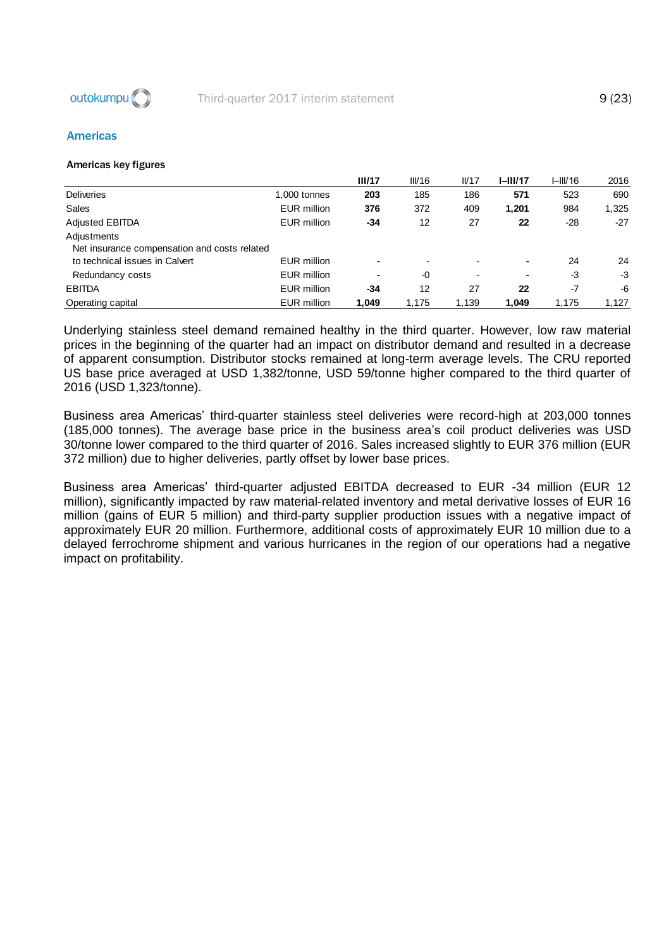

#### Americas

#### Americas key figures

|                                              |                    | III/17 | III/16 | IVI7                     | $I-III/17$ | HIII/16 | 2016  |
|----------------------------------------------|--------------------|--------|--------|--------------------------|------------|---------|-------|
| <b>Deliveries</b>                            | 1,000 tonnes       | 203    | 185    | 186                      | 571        | 523     | 690   |
| Sales                                        | EUR million        | 376    | 372    | 409                      | 1,201      | 984     | 1,325 |
| <b>Adjusted EBITDA</b>                       | EUR million        | -34    | 12     | 27                       | 22         | -28     | $-27$ |
| Adjustments                                  |                    |        |        |                          |            |         |       |
| Net insurance compensation and costs related |                    |        |        |                          |            |         |       |
| to technical issues in Calvert               | EUR million        |        |        | $\overline{\phantom{0}}$ | ۰.         | 24      | 24    |
| Redundancy costs                             | EUR million        |        | -0     | $\blacksquare$           |            | -3      | -3    |
| <b>EBITDA</b>                                | EUR million        | -34    | 12     | 27                       | 22         | $-7$    | -6    |
| Operating capital                            | <b>EUR million</b> | 1.049  | 1.175  | 1,139                    | 1,049      | 1,175   | 1.127 |

Underlying stainless steel demand remained healthy in the third quarter. However, low raw material prices in the beginning of the quarter had an impact on distributor demand and resulted in a decrease of apparent consumption. Distributor stocks remained at long-term average levels. The CRU reported US base price averaged at USD 1,382/tonne, USD 59/tonne higher compared to the third quarter of 2016 (USD 1,323/tonne).

Business area Americas' third-quarter stainless steel deliveries were record-high at 203,000 tonnes (185,000 tonnes). The average base price in the business area's coil product deliveries was USD 30/tonne lower compared to the third quarter of 2016. Sales increased slightly to EUR 376 million (EUR 372 million) due to higher deliveries, partly offset by lower base prices.

Business area Americas' third-quarter adjusted EBITDA decreased to EUR -34 million (EUR 12 million), significantly impacted by raw material-related inventory and metal derivative losses of EUR 16 million (gains of EUR 5 million) and third-party supplier production issues with a negative impact of approximately EUR 20 million. Furthermore, additional costs of approximately EUR 10 million due to a delayed ferrochrome shipment and various hurricanes in the region of our operations had a negative impact on profitability.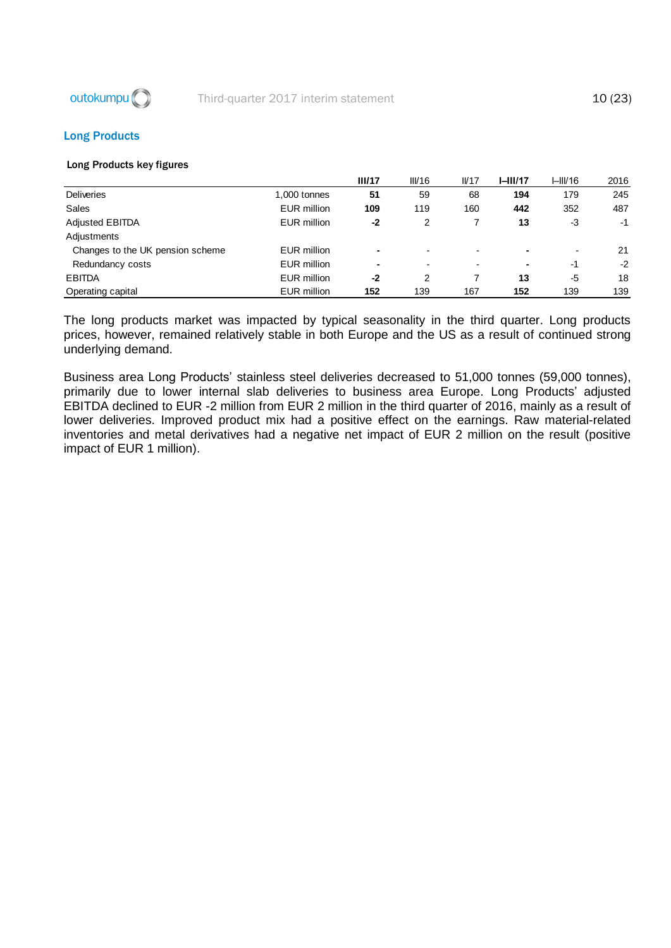

#### Long Products

#### Long Products key figures

|                                  |                    | III/17 | III/16 | IVI7                     | $I-III/17$ | I–III/16       | 2016 |
|----------------------------------|--------------------|--------|--------|--------------------------|------------|----------------|------|
| <b>Deliveries</b>                | 1,000 tonnes       | 51     | 59     | 68                       | 194        | 179            | 245  |
| Sales                            | <b>EUR million</b> | 109    | 119    | 160                      | 442        | 352            | 487  |
| <b>Adjusted EBITDA</b>           | <b>EUR million</b> | $-2$   | 2      |                          | 13         | -3             | -1   |
| Adjustments                      |                    |        |        |                          |            |                |      |
| Changes to the UK pension scheme | <b>EUR million</b> |        |        | $\blacksquare$           |            | $\blacksquare$ | 21   |
| Redundancy costs                 | <b>EUR million</b> | ۰      |        | $\overline{\phantom{0}}$ |            | $-1$           | $-2$ |
| <b>EBITDA</b>                    | <b>EUR million</b> | -2     | 2      |                          | 13         | -5             | 18   |
| Operating capital                | <b>EUR million</b> | 152    | 139    | 167                      | 152        | 139            | 139  |

The long products market was impacted by typical seasonality in the third quarter. Long products prices, however, remained relatively stable in both Europe and the US as a result of continued strong underlying demand.

Business area Long Products' stainless steel deliveries decreased to 51,000 tonnes (59,000 tonnes), primarily due to lower internal slab deliveries to business area Europe. Long Products' adjusted EBITDA declined to EUR -2 million from EUR 2 million in the third quarter of 2016, mainly as a result of lower deliveries. Improved product mix had a positive effect on the earnings. Raw material-related inventories and metal derivatives had a negative net impact of EUR 2 million on the result (positive impact of EUR 1 million).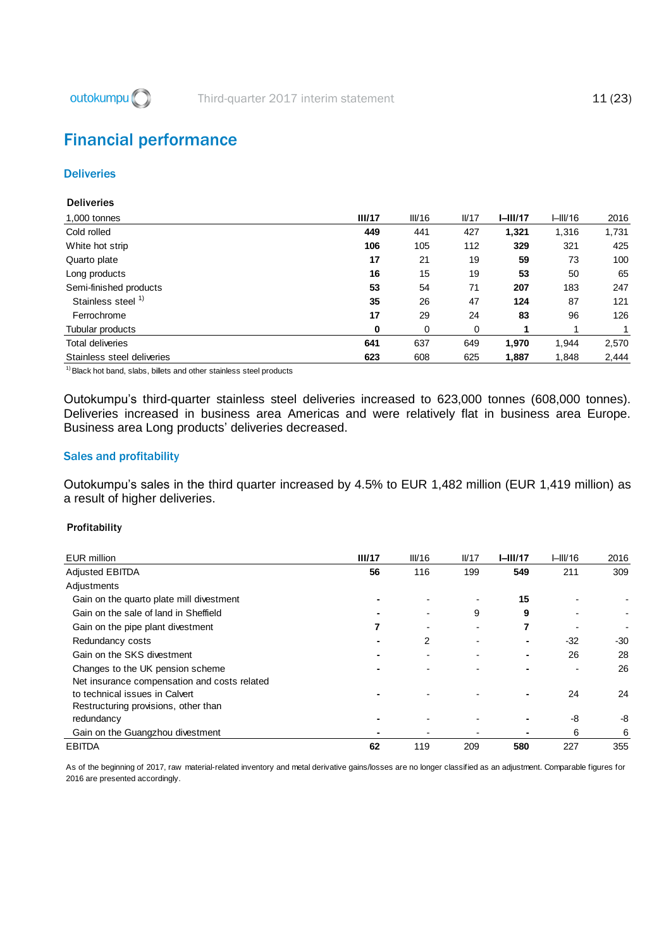

## <span id="page-11-0"></span>Financial performance

#### **Deliveries**

#### **Deliveries**

| 1,000 tonnes                  | III/17 | III/16 | IVI7 | $I-III/17$ | HIII/16 | 2016  |
|-------------------------------|--------|--------|------|------------|---------|-------|
| Cold rolled                   | 449    | 441    | 427  | 1,321      | 1,316   | 1,731 |
| White hot strip               | 106    | 105    | 112  | 329        | 321     | 425   |
| Quarto plate                  | 17     | 21     | 19   | 59         | 73      | 100   |
| Long products                 | 16     | 15     | 19   | 53         | 50      | 65    |
| Semi-finished products        | 53     | 54     | 71   | 207        | 183     | 247   |
| Stainless steel <sup>1)</sup> | 35     | 26     | 47   | 124        | 87      | 121   |
| Ferrochrome                   | 17     | 29     | 24   | 83         | 96      | 126   |
| Tubular products              | 0      | 0      | 0    |            |         |       |
| <b>Total deliveries</b>       | 641    | 637    | 649  | 1,970      | 1.944   | 2,570 |
| Stainless steel deliveries    | 623    | 608    | 625  | 1,887      | 1,848   | 2,444 |

 $1)$  Black hot band, slabs, billets and other stainless steel products

Outokumpu's third-quarter stainless steel deliveries increased to 623,000 tonnes (608,000 tonnes). Deliveries increased in business area Americas and were relatively flat in business area Europe. Business area Long products' deliveries decreased.

#### Sales and profitability

Outokumpu's sales in the third quarter increased by 4.5% to EUR 1,482 million (EUR 1,419 million) as a result of higher deliveries.

#### Profitability

| <b>EUR million</b>                           | III/17 | III/16 | IVI7           | $I-III/17$ | HIII/16 | 2016 |
|----------------------------------------------|--------|--------|----------------|------------|---------|------|
| <b>Adjusted EBITDA</b>                       | 56     | 116    | 199            | 549        | 211     | 309  |
| Adjustments                                  |        |        |                |            |         |      |
| Gain on the quarto plate mill divestment     |        |        | $\blacksquare$ | 15         |         |      |
| Gain on the sale of land in Sheffield        |        |        | 9              | 9          |         |      |
| Gain on the pipe plant divestment            |        |        | $\blacksquare$ |            |         |      |
| Redundancy costs                             |        | 2      |                |            | $-32$   | -30  |
| Gain on the SKS divestment                   |        |        |                |            | 26      | 28   |
| Changes to the UK pension scheme             |        |        |                |            |         | 26   |
| Net insurance compensation and costs related |        |        |                |            |         |      |
| to technical issues in Calvert               |        |        |                |            | 24      | 24   |
| Restructuring provisions, other than         |        |        |                |            |         |      |
| redundancy                                   |        |        |                |            | -8      | -8   |
| Gain on the Guangzhou divestment             |        |        |                |            | 6       | 6    |
| <b>EBITDA</b>                                | 62     | 119    | 209            | 580        | 227     | 355  |

EBITDA 207 227 355<br>As of the beginning of 2017, raw material-related inventory and metal derivative gains/losses are no longer classified as an adjustment. Comparable figures for 2016 are presented accordingly.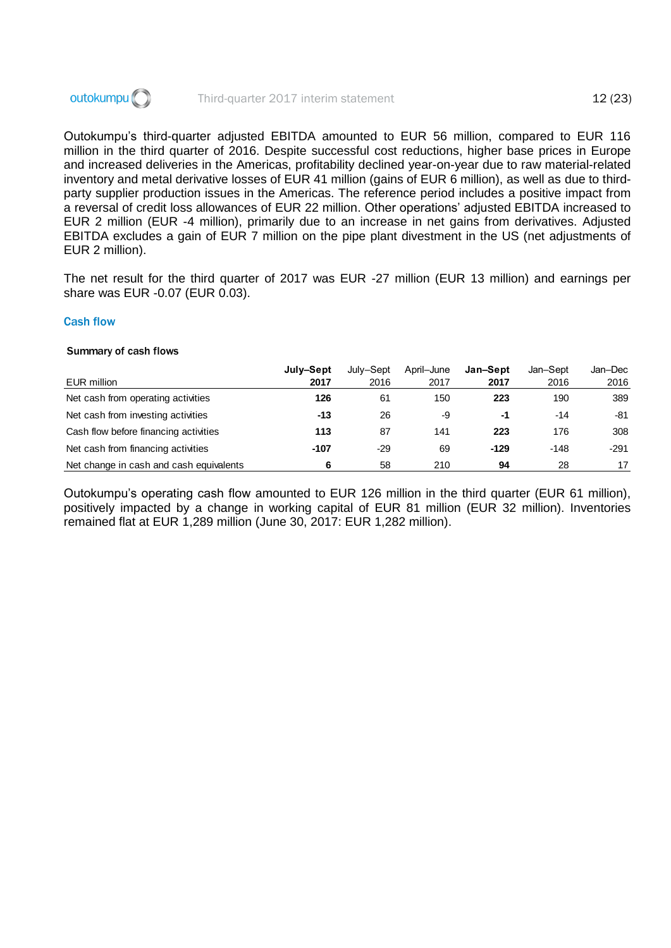

Outokumpu's third-quarter adjusted EBITDA amounted to EUR 56 million, compared to EUR 116 million in the third quarter of 2016. Despite successful cost reductions, higher base prices in Europe and increased deliveries in the Americas, profitability declined year-on-year due to raw material-related inventory and metal derivative losses of EUR 41 million (gains of EUR 6 million), as well as due to thirdparty supplier production issues in the Americas. The reference period includes a positive impact from a reversal of credit loss allowances of EUR 22 million. Other operations' adjusted EBITDA increased to EUR 2 million (EUR -4 million), primarily due to an increase in net gains from derivatives. Adjusted EBITDA excludes a gain of EUR 7 million on the pipe plant divestment in the US (net adjustments of EUR 2 million).

The net result for the third quarter of 2017 was EUR -27 million (EUR 13 million) and earnings per share was EUR -0.07 (EUR 0.03).

#### Cash flow

#### Summary of cash flows

|                                         | July-Sept | July-Sept | April-June | Jan-Sept | Jan-Sept | Jan-Dec |
|-----------------------------------------|-----------|-----------|------------|----------|----------|---------|
| EUR million                             | 2017      | 2016      | 2017       | 2017     | 2016     | 2016    |
| Net cash from operating activities      | 126       | 61        | 150        | 223      | 190      | 389     |
| Net cash from investing activities      | -13       | 26        | -9         | -1       | $-14$    | -81     |
| Cash flow before financing activities   | 113       | 87        | 141        | 223      | 176      | 308     |
| Net cash from financing activities      | $-107$    | -29       | 69         | $-129$   | $-148$   | $-291$  |
| Net change in cash and cash equivalents | 6         | 58        | 210        | 94       | 28       | 17      |

Outokumpu's operating cash flow amounted to EUR 126 million in the third quarter (EUR 61 million), positively impacted by a change in working capital of EUR 81 million (EUR 32 million). Inventories remained flat at EUR 1,289 million (June 30, 2017: EUR 1,282 million).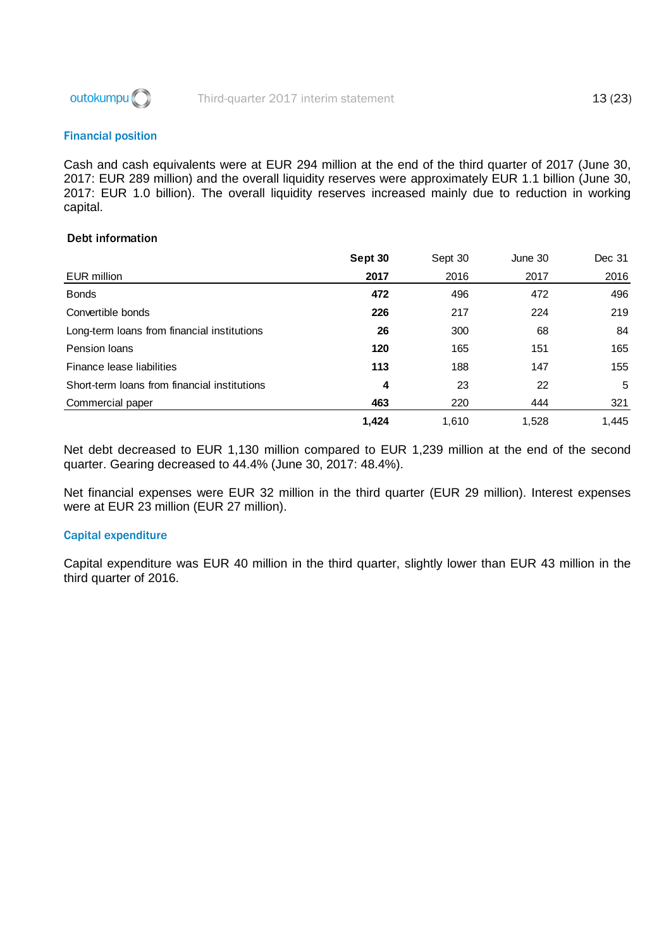

#### Financial position

Cash and cash equivalents were at EUR 294 million at the end of the third quarter of 2017 (June 30, 2017: EUR 289 million) and the overall liquidity reserves were approximately EUR 1.1 billion (June 30, 2017: EUR 1.0 billion). The overall liquidity reserves increased mainly due to reduction in working capital.

#### Debt information

|                                              | Sept 30 | Sept 30 | June 30 | Dec 31 |
|----------------------------------------------|---------|---------|---------|--------|
| EUR million                                  | 2017    | 2016    | 2017    | 2016   |
| <b>Bonds</b>                                 | 472     | 496     | 472     | 496    |
| Convertible bonds                            | 226     | 217     | 224     | 219    |
| Long-term loans from financial institutions  | 26      | 300     | 68      | 84     |
| Pension Ioans                                | 120     | 165     | 151     | 165    |
| Finance lease liabilities                    | 113     | 188     | 147     | 155    |
| Short-term loans from financial institutions | 4       | 23      | 22      | 5      |
| Commercial paper                             | 463     | 220     | 444     | 321    |
|                                              | 1,424   | 1,610   | 1,528   | 1,445  |

Net debt decreased to EUR 1,130 million compared to EUR 1,239 million at the end of the second quarter. Gearing decreased to 44.4% (June 30, 2017: 48.4%).

Net financial expenses were EUR 32 million in the third quarter (EUR 29 million). Interest expenses were at EUR 23 million (EUR 27 million).

#### Capital expenditure

Capital expenditure was EUR 40 million in the third quarter, slightly lower than EUR 43 million in the third quarter of 2016.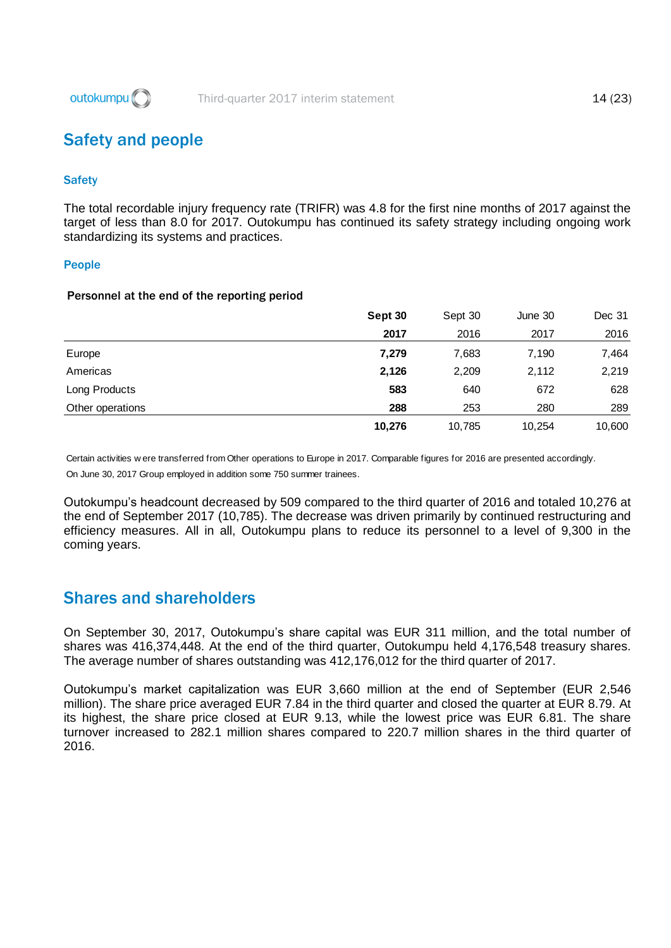

## <span id="page-14-0"></span>Safety and people

#### **Safety**

The total recordable injury frequency rate (TRIFR) was 4.8 for the first nine months of 2017 against the target of less than 8.0 for 2017. Outokumpu has continued its safety strategy including ongoing work standardizing its systems and practices.

#### People

#### Personnel at the end of the reporting period

|                  | Sept 30 | Sept 30 | June 30 | Dec 31 |
|------------------|---------|---------|---------|--------|
|                  | 2017    | 2016    | 2017    | 2016   |
| Europe           | 7,279   | 7,683   | 7,190   | 7,464  |
| Americas         | 2,126   | 2,209   | 2,112   | 2,219  |
| Long Products    | 583     | 640     | 672     | 628    |
| Other operations | 288     | 253     | 280     | 289    |
|                  | 10,276  | 10,785  | 10,254  | 10,600 |

On June 30, 2017 Group employed in addition some 750 summer trainees. Certain activities w ere transferred from Other operations to Europe in 2017. Comparable figures for 2016 are presented accordingly.

Outokumpu's headcount decreased by 509 compared to the third quarter of 2016 and totaled 10,276 at the end of September 2017 (10,785). The decrease was driven primarily by continued restructuring and efficiency measures. All in all, Outokumpu plans to reduce its personnel to a level of 9,300 in the coming years.

## <span id="page-14-1"></span>Shares and shareholders

On September 30, 2017, Outokumpu's share capital was EUR 311 million, and the total number of shares was 416,374,448. At the end of the third quarter, Outokumpu held 4,176,548 treasury shares. The average number of shares outstanding was 412,176,012 for the third quarter of 2017.

Outokumpu's market capitalization was EUR 3,660 million at the end of September (EUR 2,546 million). The share price averaged EUR 7.84 in the third quarter and closed the quarter at EUR 8.79. At its highest, the share price closed at EUR 9.13, while the lowest price was EUR 6.81. The share turnover increased to 282.1 million shares compared to 220.7 million shares in the third quarter of 2016.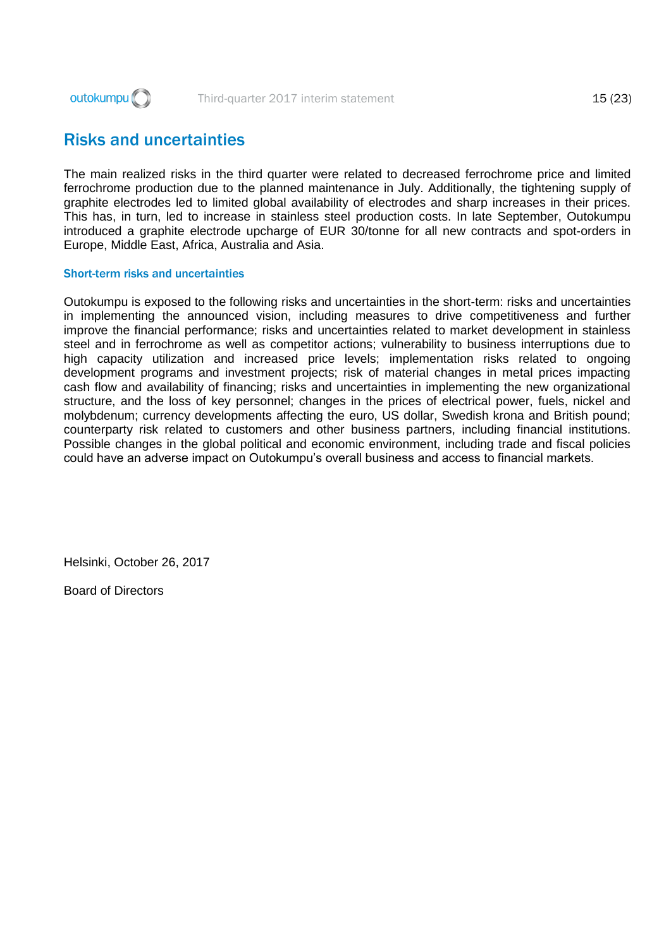

## <span id="page-15-0"></span>Risks and uncertainties

The main realized risks in the third quarter were related to decreased ferrochrome price and limited ferrochrome production due to the planned maintenance in July. Additionally, the tightening supply of graphite electrodes led to limited global availability of electrodes and sharp increases in their prices. This has, in turn, led to increase in stainless steel production costs. In late September, Outokumpu introduced a graphite electrode upcharge of EUR 30/tonne for all new contracts and spot-orders in Europe, Middle East, Africa, Australia and Asia.

#### Short-term risks and uncertainties

Outokumpu is exposed to the following risks and uncertainties in the short-term: risks and uncertainties in implementing the announced vision, including measures to drive competitiveness and further improve the financial performance; risks and uncertainties related to market development in stainless steel and in ferrochrome as well as competitor actions; vulnerability to business interruptions due to high capacity utilization and increased price levels; implementation risks related to ongoing development programs and investment projects; risk of material changes in metal prices impacting cash flow and availability of financing; risks and uncertainties in implementing the new organizational structure, and the loss of key personnel; changes in the prices of electrical power, fuels, nickel and molybdenum; currency developments affecting the euro, US dollar, Swedish krona and British pound; counterparty risk related to customers and other business partners, including financial institutions. Possible changes in the global political and economic environment, including trade and fiscal policies could have an adverse impact on Outokumpu's overall business and access to financial markets.

Helsinki, October 26, 2017

Board of Directors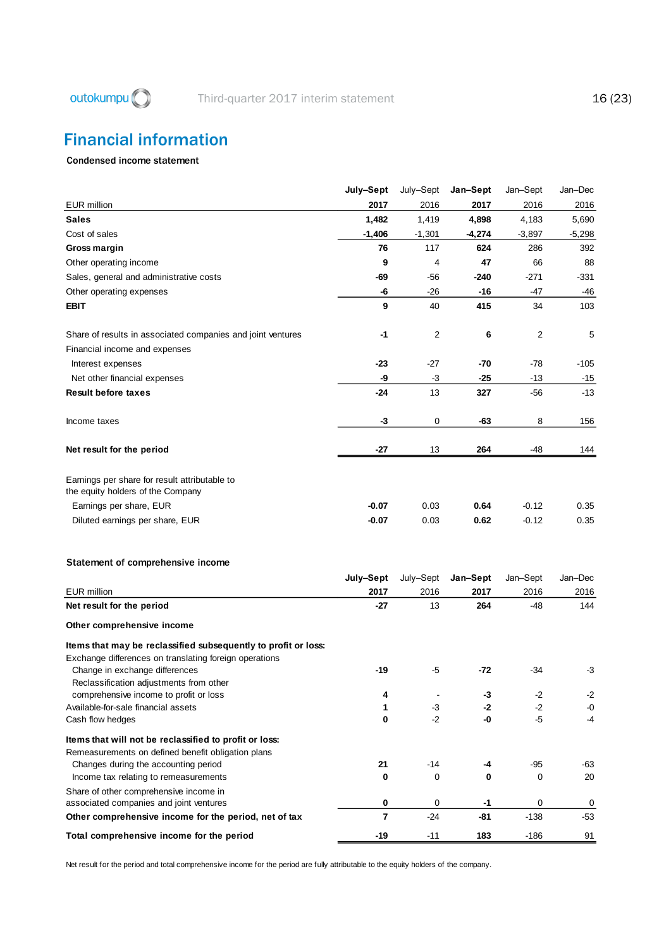

## <span id="page-16-0"></span>Financial information

#### Condensed income statement

|                                                                                                                                                  | July-Sept           | July-Sept    | Jan–Sept     | Jan–Sept           | Jan-Dec      |
|--------------------------------------------------------------------------------------------------------------------------------------------------|---------------------|--------------|--------------|--------------------|--------------|
| <b>EUR</b> million                                                                                                                               | 2017                | 2016         | 2017         | 2016               | 2016         |
| <b>Sales</b>                                                                                                                                     | 1,482               | 1,419        | 4,898        | 4,183              | 5,690        |
| Cost of sales                                                                                                                                    | $-1,406$            | $-1,301$     | $-4,274$     | $-3,897$           | $-5,298$     |
| Gross margin                                                                                                                                     | 76                  | 117          | 624          | 286                | 392          |
| Other operating income                                                                                                                           | 9                   | 4            | 47           | 66                 | 88           |
| Sales, general and administrative costs                                                                                                          | -69                 | -56          | -240         | $-271$             | -331         |
| Other operating expenses                                                                                                                         | -6                  | -26          | -16          | -47                | -46          |
| <b>EBIT</b>                                                                                                                                      | 9                   | 40           | 415          | 34                 | 103          |
| Share of results in associated companies and joint ventures                                                                                      | $-1$                | 2            | 6            | 2                  | 5            |
| Financial income and expenses                                                                                                                    |                     |              |              |                    |              |
| Interest expenses                                                                                                                                | $-23$               | -27          | -70          | -78                | -105         |
| Net other financial expenses                                                                                                                     | -9                  | -3           | $-25$        | $-13$              | -15          |
| <b>Result before taxes</b>                                                                                                                       | -24                 | 13           | 327          | -56                | $-13$        |
| Income taxes                                                                                                                                     | $-3$                | 0            | -63          | 8                  | 156          |
| Net result for the period                                                                                                                        | -27                 | 13           | 264          | -48                | 144          |
| Earnings per share for result attributable to<br>the equity holders of the Company<br>Earnings per share, EUR<br>Diluted earnings per share, EUR | $-0.07$<br>$-0.07$  | 0.03<br>0.03 | 0.64<br>0.62 | $-0.12$<br>$-0.12$ | 0.35<br>0.35 |
| Statement of comprehensive income                                                                                                                |                     |              |              |                    |              |
|                                                                                                                                                  | July-Sept           | July-Sept    | Jan-Sept     | Jan-Sept           | Jan-Dec      |
| <b>EUR</b> million                                                                                                                               | 2017                | 2016         | 2017         | 2016               | 2016         |
| Net result for the period                                                                                                                        | -27                 | 13           | 264          | -48                | 144          |
| Other comprehensive income                                                                                                                       |                     |              |              |                    |              |
| Items that may be reclassified subsequently to profit or loss:<br>Exchange differences on translating foreign operations                         |                     |              |              |                    |              |
| Change in exchange differences<br>Reclassification adjustments from other                                                                        | -19                 | $-5$         | -72          | $-34$              | -3           |
| comprehensive income to profit or loss                                                                                                           | 4                   |              | -3           | $-2$               | -2           |
| Available-for-sale financial assets                                                                                                              | 1                   | $-3$<br>$-2$ | -2<br>-0     | $-2$<br>$-5$       | -0<br>$-4$   |
| Cash flow hedges                                                                                                                                 | 0                   |              |              |                    |              |
| Items that will not be reclassified to profit or loss:<br>Remeasurements on defined benefit obligation plans                                     |                     |              |              |                    |              |
| Changes during the accounting period                                                                                                             | 21                  | -14          | -4           | $-95$              | -63          |
| Income tax relating to remeasurements                                                                                                            | 0                   | 0            | 0            | 0                  | 20           |
| Share of other comprehensive income in                                                                                                           |                     |              |              |                    |              |
| associated companies and joint ventures                                                                                                          | 0<br>$\overline{7}$ | 0<br>-24     | -1<br>-81    | 0<br>$-138$        | 0<br>$-53$   |
| Other comprehensive income for the period, net of tax                                                                                            |                     |              |              |                    |              |
| Total comprehensive income for the period                                                                                                        | $-19$               | $-11$        | 183          | $-186$             | 91           |

Net result for the period and total comprehensive income for the period are fully attributable to the equity holders of the company.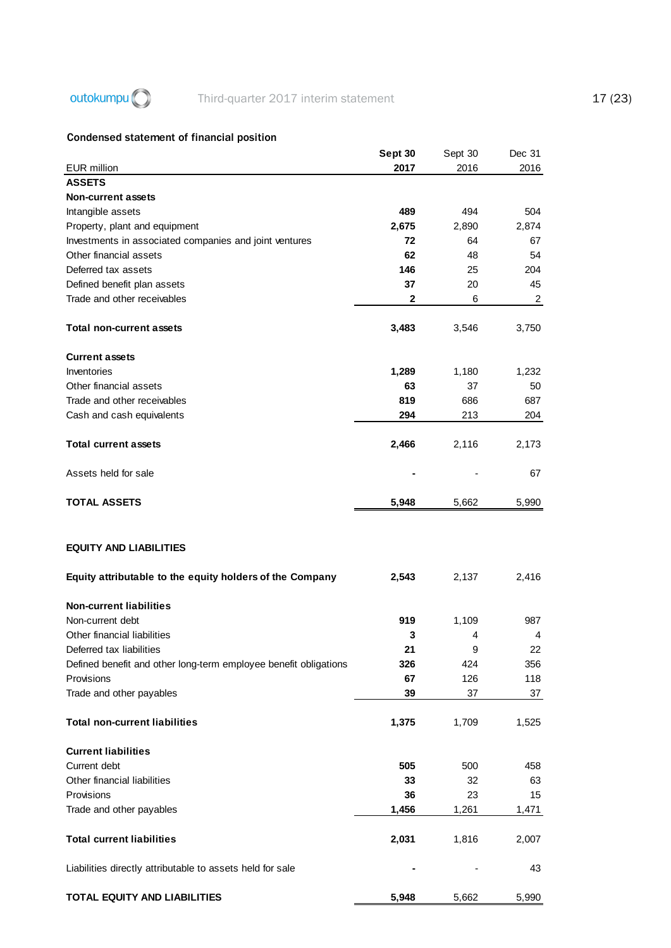## outokumpu (C) Third-quarter 2017 interim statement 17 (23)

### Condensed statement of financial position

|                                                                                           | Sept 30   | Sept 30    | Dec 31         |
|-------------------------------------------------------------------------------------------|-----------|------------|----------------|
| <b>EUR million</b>                                                                        | 2017      | 2016       | 2016           |
| <b>ASSETS</b>                                                                             |           |            |                |
| <b>Non-current assets</b>                                                                 |           |            |                |
| Intangible assets                                                                         | 489       | 494        | 504            |
| Property, plant and equipment                                                             | 2,675     | 2,890      | 2,874          |
| Investments in associated companies and joint ventures                                    | 72        | 64         | 67             |
| Other financial assets                                                                    | 62        | 48         | 54             |
| Deferred tax assets                                                                       | 146       | 25         | 204            |
| Defined benefit plan assets                                                               | 37        | 20         | 45             |
| Trade and other receivables                                                               | 2         | 6          | $\overline{2}$ |
| <b>Total non-current assets</b>                                                           | 3,483     | 3,546      | 3,750          |
| <b>Current assets</b>                                                                     |           |            |                |
| Inventories                                                                               | 1,289     | 1,180      | 1,232          |
| Other financial assets                                                                    | 63        | 37         | 50             |
| Trade and other receivables                                                               | 819       | 686        | 687            |
| Cash and cash equivalents                                                                 | 294       | 213        | 204            |
| <b>Total current assets</b>                                                               | 2,466     | 2,116      | 2,173          |
| Assets held for sale                                                                      |           |            | 67             |
| <b>TOTAL ASSETS</b>                                                                       | 5,948     | 5,662      | 5,990          |
| <b>EQUITY AND LIABILITIES</b><br>Equity attributable to the equity holders of the Company | 2,543     | 2,137      | 2,416          |
|                                                                                           |           |            |                |
| <b>Non-current liabilities</b><br>Non-current debt                                        | 919       |            | 987            |
| Other financial liabilities                                                               |           | 1,109<br>4 |                |
| Deferred tax liabilities                                                                  | 3<br>21   | 9          | 4<br>22        |
|                                                                                           |           | 424        |                |
| Defined benefit and other long-term employee benefit obligations<br>Provisions            | 326<br>67 | 126        | 356<br>118     |
| Trade and other payables                                                                  | 39        | 37         | 37             |
|                                                                                           |           |            |                |
| <b>Total non-current liabilities</b>                                                      | 1,375     | 1,709      | 1,525          |
| <b>Current liabilities</b>                                                                |           |            |                |
| Current debt                                                                              | 505       | 500        | 458            |
| Other financial liabilities                                                               | 33        | 32         | 63             |
| Provisions                                                                                | 36        | 23         | 15             |
| Trade and other payables                                                                  | 1,456     | 1,261      | 1,471          |
| <b>Total current liabilities</b>                                                          | 2,031     | 1,816      | 2,007          |
| Liabilities directly attributable to assets held for sale                                 |           |            | 43             |
| TOTAL EQUITY AND LIABILITIES                                                              | 5,948     | 5,662      | 5,990          |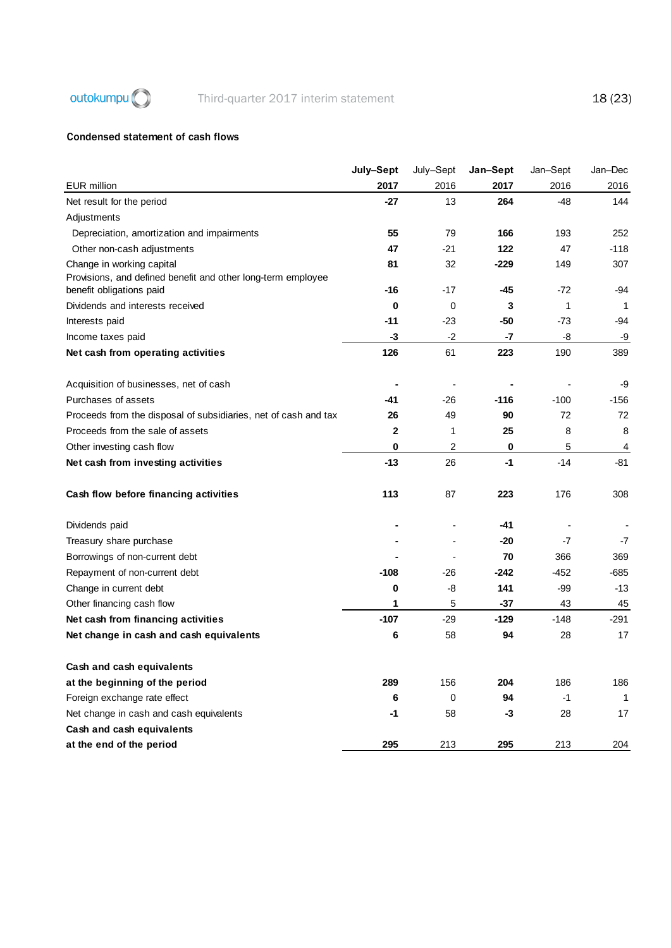

#### Condensed statement of cash flows

|                                                                                           | July-Sept    | July-Sept      | Jan-Sept | Jan-Sept | Jan-Dec      |
|-------------------------------------------------------------------------------------------|--------------|----------------|----------|----------|--------------|
| <b>EUR</b> million                                                                        | 2017         | 2016           | 2017     | 2016     | 2016         |
| Net result for the period                                                                 | $-27$        | 13             | 264      | $-48$    | 144          |
| Adjustments                                                                               |              |                |          |          |              |
| Depreciation, amortization and impairments                                                | 55           | 79             | 166      | 193      | 252          |
| Other non-cash adjustments                                                                | 47           | $-21$          | 122      | 47       | $-118$       |
| Change in working capital<br>Provisions, and defined benefit and other long-term employee | 81           | 32             | $-229$   | 149      | 307          |
| benefit obligations paid                                                                  | $-16$        | $-17$          | -45      | $-72$    | $-94$        |
| Dividends and interests received                                                          | $\bf{0}$     | 0              | 3        | 1        | $\mathbf{1}$ |
| Interests paid                                                                            | $-11$        | $-23$          | -50      | $-73$    | $-94$        |
| Income taxes paid                                                                         | -3           | $-2$           | -7       | -8       | -9           |
| Net cash from operating activities                                                        | 126          | 61             | 223      | 190      | 389          |
| Acquisition of businesses, net of cash                                                    |              |                |          |          | -9           |
| Purchases of assets                                                                       | -41          | $-26$          | $-116$   | $-100$   | $-156$       |
| Proceeds from the disposal of subsidiaries, net of cash and tax                           | 26           | 49             | 90       | 72       | 72           |
| Proceeds from the sale of assets                                                          | $\mathbf{2}$ | 1              | 25       | 8        | 8            |
| Other investing cash flow                                                                 | $\mathbf{0}$ | 2              | 0        | 5        | 4            |
| Net cash from investing activities                                                        | $-13$        | 26             | $-1$     | $-14$    | $-81$        |
| Cash flow before financing activities                                                     | 113          | 87             | 223      | 176      | 308          |
| Dividends paid                                                                            |              |                | -41      |          |              |
| Treasury share purchase                                                                   |              | $\overline{a}$ | $-20$    | $-7$     | -7           |
| Borrowings of non-current debt                                                            |              | $\blacksquare$ | 70       | 366      | 369          |
| Repayment of non-current debt                                                             | $-108$       | $-26$          | $-242$   | $-452$   | -685         |
| Change in current debt                                                                    | 0            | -8             | 141      | -99      | $-13$        |
| Other financing cash flow                                                                 | 1            | 5              | $-37$    | 43       | 45           |
| Net cash from financing activities                                                        | $-107$       | $-29$          | $-129$   | $-148$   | -291         |
| Net change in cash and cash equivalents                                                   | 6            | 58             | 94       | 28       | 17           |
| Cash and cash equivalents                                                                 |              |                |          |          |              |
| at the beginning of the period                                                            | 289          | 156            | 204      | 186      | 186          |
| Foreign exchange rate effect                                                              | 6            | 0              | 94       | $-1$     | $\mathbf 1$  |
| Net change in cash and cash equivalents                                                   | -1           | 58             | -3       | 28       | 17           |
| Cash and cash equivalents                                                                 |              |                |          |          |              |
| at the end of the period                                                                  | 295          | 213            | 295      | 213      | 204          |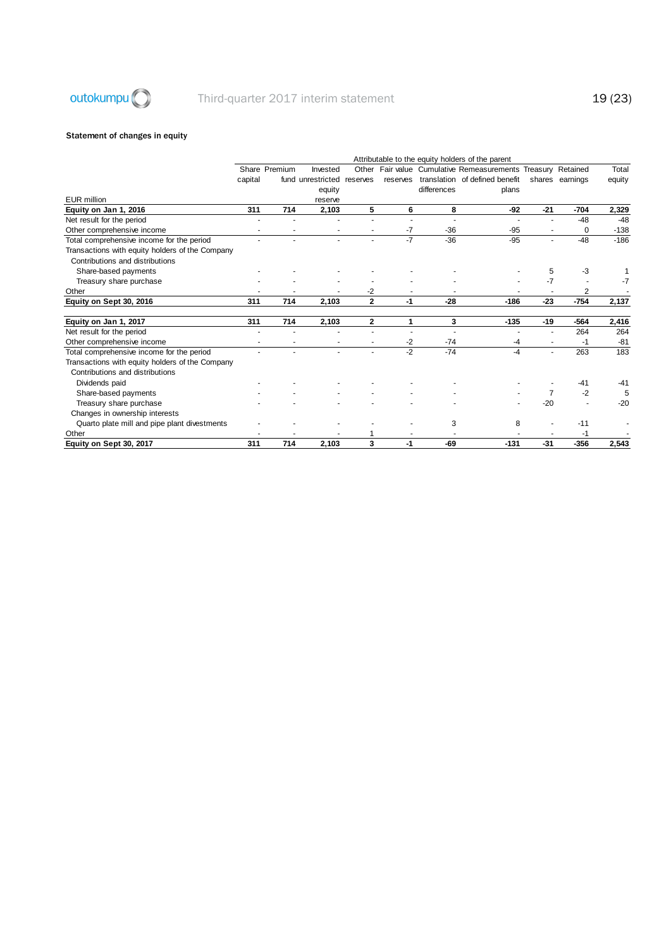

#### Statement of changes in equity

|                                                 | Attributable to the equity holders of the parent |               |                            |                      |          |             |                                                        |                          |                 |        |  |
|-------------------------------------------------|--------------------------------------------------|---------------|----------------------------|----------------------|----------|-------------|--------------------------------------------------------|--------------------------|-----------------|--------|--|
|                                                 |                                                  | Share Premium | Invested                   | Other                |          |             | Fair value Cumulative Remeasurements Treasury Retained |                          |                 | Total  |  |
|                                                 | capital                                          |               | fund unrestricted reserves |                      | reserves |             | translation of defined benefit                         |                          | shares earnings | equity |  |
|                                                 |                                                  |               | equity                     |                      |          | differences | plans                                                  |                          |                 |        |  |
| <b>EUR</b> million                              |                                                  |               | reserve                    |                      |          |             |                                                        |                          |                 |        |  |
| Equity on Jan 1, 2016                           | 311                                              | 714           | 2,103                      | 5                    | 6        | 8           | -92                                                    | $-21$                    | $-704$          | 2,329  |  |
| Net result for the period                       |                                                  |               |                            |                      |          |             |                                                        |                          | $-48$           | $-48$  |  |
| Other comprehensive income                      |                                                  |               |                            |                      | -7       | $-36$       | $-95$                                                  | ٠                        | $\Omega$        | $-138$ |  |
| Total comprehensive income for the period       |                                                  |               |                            |                      | $-7$     | $-36$       | $-95$                                                  | ٠                        | $-48$           | $-186$ |  |
| Transactions with equity holders of the Company |                                                  |               |                            |                      |          |             |                                                        |                          |                 |        |  |
| Contributions and distributions                 |                                                  |               |                            |                      |          |             |                                                        |                          |                 |        |  |
| Share-based payments                            |                                                  |               |                            |                      |          |             |                                                        | 5                        | -3              |        |  |
| Treasury share purchase                         |                                                  |               |                            |                      |          |             |                                                        | -7                       |                 | $-7$   |  |
| Other                                           |                                                  |               |                            | -2                   |          |             |                                                        |                          | 2               |        |  |
| Equity on Sept 30, 2016                         | 311                                              | 714           | 2,103                      | $\mathbf{2}$         | -1       | $-28$       | $-186$                                                 | $-23$                    | $-754$          | 2,137  |  |
| Equity on Jan 1, 2017                           | 311                                              | 714           | 2,103                      | $\overline{2}$       | 1        | 3           | $-135$                                                 | $-19$                    | $-564$          | 2,416  |  |
| Net result for the period                       |                                                  |               |                            |                      |          |             |                                                        |                          | 264             | 264    |  |
| Other comprehensive income                      |                                                  |               |                            |                      | -2       | $-74$       | -4                                                     | $\overline{\phantom{a}}$ | -1              | $-81$  |  |
| Total comprehensive income for the period       |                                                  |               |                            | $\ddot{\phantom{1}}$ | $-2$     | $-74$       | $-4$                                                   | ÷.                       | 263             | 183    |  |
| Transactions with equity holders of the Company |                                                  |               |                            |                      |          |             |                                                        |                          |                 |        |  |
| Contributions and distributions                 |                                                  |               |                            |                      |          |             |                                                        |                          |                 |        |  |
| Dividends paid                                  |                                                  |               |                            |                      |          |             |                                                        |                          | $-41$           | $-41$  |  |
| Share-based payments                            |                                                  |               |                            |                      |          |             |                                                        | $\overline{7}$           | $-2$            | 5      |  |
| Treasury share purchase                         |                                                  |               |                            |                      |          |             |                                                        | -20                      |                 | $-20$  |  |
| Changes in ownership interests                  |                                                  |               |                            |                      |          |             |                                                        |                          |                 |        |  |
| Quarto plate mill and pipe plant divestments    |                                                  |               |                            |                      |          | 3           | 8                                                      |                          | $-11$           |        |  |
| Other                                           |                                                  |               |                            |                      |          |             |                                                        |                          | -1              |        |  |
| Equity on Sept 30, 2017                         | 311                                              | 714           | 2,103                      | 3                    | -1       | -69         | $-131$                                                 | $-31$                    | $-356$          | 2,543  |  |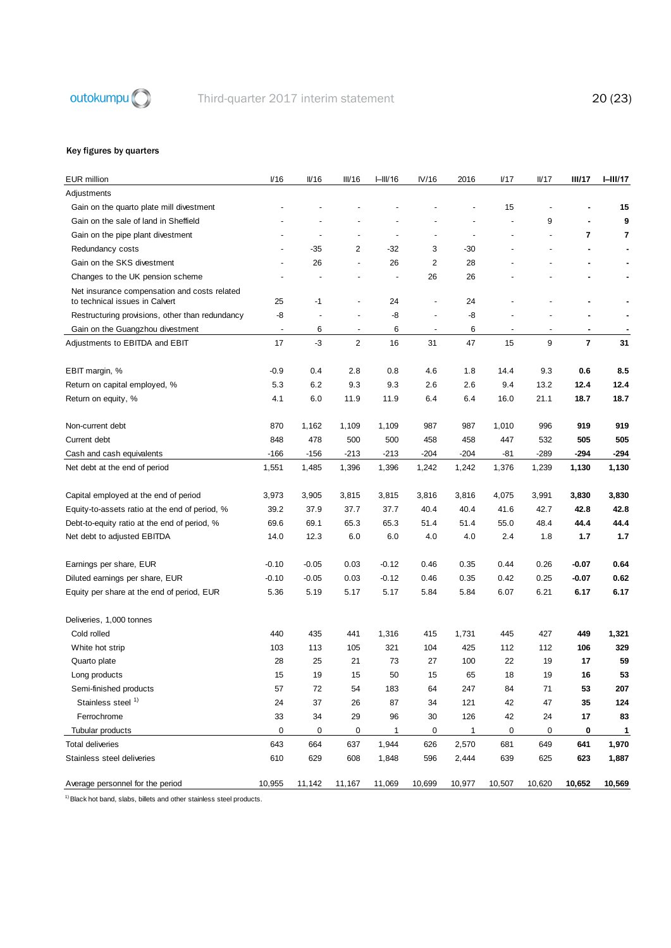

### Key figures by quarters

| <b>EUR</b> million                                                             | V16                      | $I\!I/16$ | III/16                   | $I=III/16$     | IV/16                    | 2016                     | V17            | II/17  | <b>III/17</b>           | $I - II I/17$ |
|--------------------------------------------------------------------------------|--------------------------|-----------|--------------------------|----------------|--------------------------|--------------------------|----------------|--------|-------------------------|---------------|
| Adjustments                                                                    |                          |           |                          |                |                          |                          |                |        |                         |               |
| Gain on the quarto plate mill divestment                                       |                          |           |                          |                |                          |                          | 15             |        |                         | 15            |
| Gain on the sale of land in Sheffield                                          |                          |           |                          |                |                          | ÷,                       | ÷,             | 9      |                         | 9             |
| Gain on the pipe plant divestment                                              |                          |           | $\blacksquare$           | $\overline{a}$ | $\overline{a}$           | $\overline{\phantom{a}}$ |                |        | $\overline{7}$          | 7             |
| Redundancy costs                                                               | $\overline{\phantom{a}}$ | $-35$     | $\overline{2}$           | $-32$          | 3                        | -30                      |                |        | $\sim$                  | ٠             |
| Gain on the SKS divestment                                                     | $\overline{a}$           | 26        | $\blacksquare$           | 26             | 2                        | 28                       |                |        |                         |               |
| Changes to the UK pension scheme                                               |                          |           |                          |                | 26                       | 26                       |                |        |                         |               |
| Net insurance compensation and costs related<br>to technical issues in Calvert | 25                       | $-1$      | $\overline{a}$           | 24             | $\overline{a}$           | 24                       |                |        | ä,                      |               |
| Restructuring provisions, other than redundancy                                | -8                       |           |                          | -8             | $\overline{a}$           | -8                       |                |        |                         |               |
| Gain on the Guangzhou divestment                                               | $\overline{\phantom{a}}$ | 6         | $\overline{\phantom{a}}$ | 6              | $\overline{\phantom{a}}$ | 6                        | $\overline{a}$ |        | $\blacksquare$          |               |
| Adjustments to EBITDA and EBIT                                                 | 17                       | -3        | $\overline{2}$           | 16             | 31                       | 47                       | 15             | 9      | $\overline{\mathbf{r}}$ | 31            |
| EBIT margin, %                                                                 | $-0.9$                   | 0.4       | 2.8                      | 0.8            | 4.6                      | 1.8                      | 14.4           | 9.3    | 0.6                     | 8.5           |
| Return on capital employed, %                                                  | 5.3                      | 6.2       | 9.3                      | 9.3            | 2.6                      | 2.6                      | 9.4            | 13.2   | 12.4                    | 12.4          |
| Return on equity, %                                                            | 4.1                      | 6.0       | 11.9                     | 11.9           | 6.4                      | 6.4                      | 16.0           | 21.1   | 18.7                    | 18.7          |
| Non-current debt                                                               | 870                      | 1,162     | 1,109                    | 1,109          | 987                      | 987                      | 1,010          | 996    | 919                     | 919           |
| Current debt                                                                   | 848                      | 478       | 500                      | 500            | 458                      | 458                      | 447            | 532    | 505                     | 505           |
| Cash and cash equivalents                                                      | $-166$                   | $-156$    | $-213$                   | $-213$         | $-204$                   | $-204$                   | -81            | $-289$ | $-294$                  | -294          |
| Net debt at the end of period                                                  | 1,551                    | 1,485     | 1,396                    | 1,396          | 1,242                    | 1,242                    | 1,376          | 1,239  | 1,130                   | 1,130         |
| Capital employed at the end of period                                          | 3,973                    | 3,905     | 3,815                    | 3,815          | 3,816                    | 3,816                    | 4,075          | 3,991  | 3,830                   | 3,830         |
| Equity-to-assets ratio at the end of period, %                                 | 39.2                     | 37.9      | 37.7                     | 37.7           | 40.4                     | 40.4                     | 41.6           | 42.7   | 42.8                    | 42.8          |
| Debt-to-equity ratio at the end of period, %                                   | 69.6                     | 69.1      | 65.3                     | 65.3           | 51.4                     | 51.4                     | 55.0           | 48.4   | 44.4                    | 44.4          |
| Net debt to adjusted EBITDA                                                    | 14.0                     | 12.3      | 6.0                      | 6.0            | 4.0                      | 4.0                      | 2.4            | 1.8    | 1.7                     | 1.7           |
| Earnings per share, EUR                                                        | $-0.10$                  | $-0.05$   | 0.03                     | $-0.12$        | 0.46                     | 0.35                     | 0.44           | 0.26   | $-0.07$                 | 0.64          |
| Diluted earnings per share, EUR                                                | $-0.10$                  | $-0.05$   | 0.03                     | $-0.12$        | 0.46                     | 0.35                     | 0.42           | 0.25   | $-0.07$                 | 0.62          |
| Equity per share at the end of period, EUR                                     | 5.36                     | 5.19      | 5.17                     | 5.17           | 5.84                     | 5.84                     | 6.07           | 6.21   | 6.17                    | 6.17          |
| Deliveries, 1,000 tonnes                                                       |                          |           |                          |                |                          |                          |                |        |                         |               |
| Cold rolled                                                                    | 440                      | 435       | 441                      | 1,316          | 415                      | 1,731                    | 445            | 427    | 449                     | 1,321         |
| White hot strip                                                                | 103                      | 113       | 105                      | 321            | 104                      | 425                      | 112            | 112    | 106                     | 329           |
| Quarto plate                                                                   | 28                       | 25        | 21                       | 73             | 27                       | 100                      | 22             | 19     | 17                      | 59            |
| Long products                                                                  | 15                       | 19        | 15                       | 50             | 15                       | 65                       | 18             | 19     | 16                      | 53            |
| Semi-finished products                                                         | 57                       | 72        | 54                       | 183            | 64                       | 247                      | 84             | 71     | 53                      | 207           |
| Stainless steel 1)                                                             | 24                       | 37        | 26                       | 87             | 34                       | 121                      | 42             | 47     | 35                      | 124           |
| Ferrochrome                                                                    | 33                       | 34        | 29                       | 96             | 30                       | 126                      | 42             | 24     | 17                      | 83            |
| Tubular products                                                               | 0                        | 0         | $\mathbf 0$              | $\mathbf{1}$   | 0                        | $\mathbf{1}$             | 0              | 0      | 0                       | 1             |
| <b>Total deliveries</b>                                                        | 643                      | 664       | 637                      | 1,944          | 626                      | 2,570                    | 681            | 649    | 641                     | 1,970         |
| Stainless steel deliveries                                                     | 610                      | 629       | 608                      | 1,848          | 596                      | 2,444                    | 639            | 625    | 623                     | 1,887         |
| Average personnel for the period                                               | 10,955                   | 11,142    | 11,167                   | 11,069         | 10,699                   | 10,977                   | 10,507         | 10,620 | 10,652                  | 10,569        |

 $1)$  Black hot band, slabs, billets and other stainless steel products.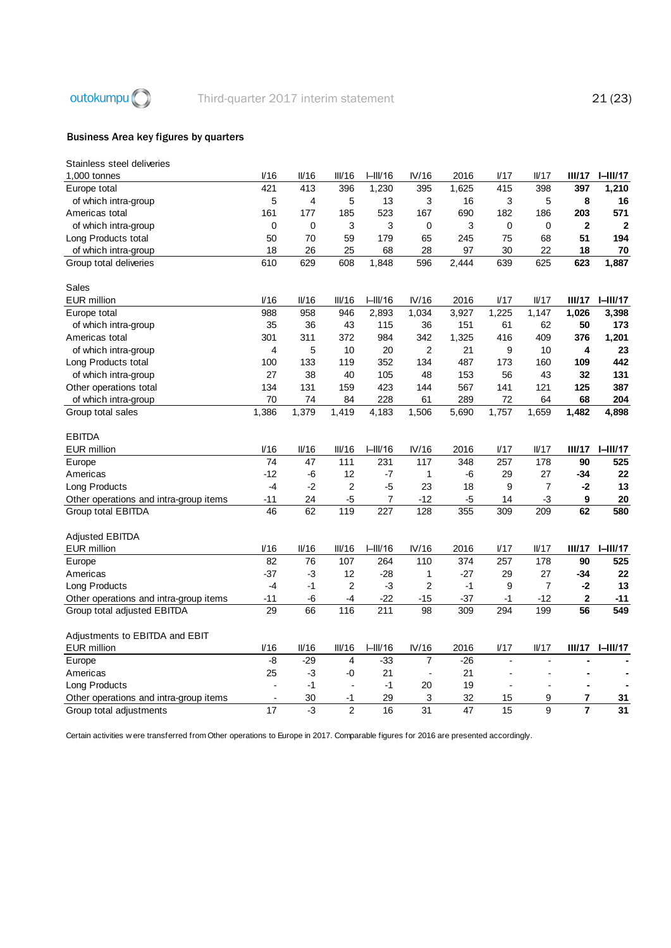

#### Business Area key figures by quarters

| Stainless steel deliveries             |                 |             |                |                  |                  |       |             |                 |                |                 |
|----------------------------------------|-----------------|-------------|----------------|------------------|------------------|-------|-------------|-----------------|----------------|-----------------|
| 1,000 tonnes                           | I/16            | II/16       | III/16         | HIII/16          | IV/16            | 2016  | 1/17        | IVI7            | III/17         | $I=III/17$      |
| Europe total                           | 421             | 413         | 396            | 1,230            | 395              | 1,625 | 415         | 398             | 397            | 1,210           |
| of which intra-group                   | 5               | 4           | 5              | 13               | 3                | 16    | 3           | 5               | 8              | 16              |
| Americas total                         | 161             | 177         | 185            | 523              | 167              | 690   | 182         | 186             | 203            | 571             |
| of which intra-group                   | $\mathbf 0$     | $\mathbf 0$ | 3              | 3                | 0                | 3     | $\mathbf 0$ | 0               | $\mathbf{2}$   | $\mathbf{2}$    |
| Long Products total                    | 50              | 70          | 59             | 179              | 65               | 245   | 75          | 68              | 51             | 194             |
| of which intra-group                   | 18              | 26          | 25             | 68               | 28               | 97    | 30          | 22              | 18             | 70              |
| Group total deliveries                 | 610             | 629         | 608            | 1,848            | 596              | 2,444 | 639         | 625             | 623            | 1,887           |
|                                        |                 |             |                |                  |                  |       |             |                 |                |                 |
| Sales                                  |                 |             |                |                  |                  |       |             |                 |                |                 |
| <b>EUR million</b>                     | V16             | II/16       | III/16         | $I=III/16$       | IV/16            | 2016  | 1/17        | I <sub>17</sub> | III/17         | $I-III/17$      |
| Europe total                           | 988             | 958         | 946            | 2,893            | 1,034            | 3,927 | 1,225       | 1,147           | 1,026          | 3,398           |
| of which intra-group                   | 35              | 36          | 43             | 115              | 36               | 151   | 61          | 62              | 50             | 173             |
| Americas total                         | 301             | 311         | 372            | 984              | 342              | 1,325 | 416         | 409             | 376            | 1,201           |
| of which intra-group                   | 4               | 5           | 10             | 20               | $\overline{2}$   | 21    | 9           | 10              | 4              | 23              |
| Long Products total                    | 100             | 133         | 119            | 352              | 134              | 487   | 173         | 160             | 109            | 442             |
| of which intra-group                   | 27              | 38          | 40             | 105              | 48               | 153   | 56          | 43              | 32             | 131             |
| Other operations total                 | 134             | 131         | 159            | 423              | 144              | 567   | 141         | 121             | 125            | 387             |
| of which intra-group                   | 70              | 74          | 84             | 228              | 61               | 289   | 72          | 64              | 68             | 204             |
| Group total sales                      | 1,386           | 1,379       | 1,419          | 4,183            | 1,506            | 5,690 | 1,757       | 1,659           | 1,482          | 4,898           |
| <b>EBITDA</b>                          |                 |             |                |                  |                  |       |             |                 |                |                 |
| <b>EUR million</b>                     | 1/16            | II/16       | III/16         | $I=III/16$       | IV/16            | 2016  | 1/17        | IVI7            | III/17         | $I-III/17$      |
| Europe                                 | 74              | 47          | 111            | 231              | 117              | 348   | 257         | 178             | 90             | 525             |
| Americas                               | $-12$           | -6          | 12             | -7               | 1                | -6    | 29          | 27              | $-34$          | 22              |
| Long Products                          | $-4$            | $-2$        | $\overline{2}$ | $-5$             | 23               | 18    | 9           | $\overline{7}$  | $-2$           | 13              |
| Other operations and intra-group items | $-11$           | 24          | $-5$           | $\overline{7}$   | $-12$            | $-5$  | 14          | $-3$            | 9              | 20              |
| Group total EBITDA                     | 46              | 62          | 119            | $\overline{227}$ | $\overline{128}$ | 355   | 309         | 209             | 62             | 580             |
| <b>Adjusted EBITDA</b>                 |                 |             |                |                  |                  |       |             |                 |                |                 |
| <b>EUR million</b>                     | 1/16            | II/16       | III/16         | HIII/16          | IV/16            | 2016  | 1/17        | IVI7            | III/17         | $I-III/17$      |
| Europe                                 | 82              | 76          | 107            | 264              | 110              | 374   | 257         | 178             | 90             | 525             |
| Americas                               | $-37$           | -3          | 12             | $-28$            | 1                | $-27$ | 29          | 27              | $-34$          | 22              |
| Long Products                          | $-4$            | $-1$        | $\overline{c}$ | $-3$             | $\overline{c}$   | $-1$  | 9           | $\overline{7}$  | -2             | 13              |
| Other operations and intra-group items | $-11$           | -6          | -4             | $-22$            | $-15$            | $-37$ | $-1$        | $-12$           | $\mathbf 2$    | $-11$           |
| Group total adjusted EBITDA            | $\overline{29}$ | 66          | 116            | 211              | 98               | 309   | 294         | 199             | 56             | 549             |
|                                        |                 |             |                |                  |                  |       |             |                 |                |                 |
| Adjustments to EBITDA and EBIT         |                 |             |                |                  |                  |       |             |                 |                |                 |
| <b>EUR million</b>                     | I/16            | II/16       | III/16         | $I=III/16$       | IV/16            | 2016  | I/17        | I <sub>17</sub> | <b>III/17</b>  | $I-III/17$      |
| Europe                                 | -8              | $-29$       | 4              | $-33$            | $\overline{7}$   | $-26$ |             |                 |                |                 |
| Americas                               | 25              | $-3$        | -0             | 21               |                  | 21    |             |                 |                |                 |
| Long Products                          |                 | $-1$        | $\overline{a}$ | $-1$             | 20               | 19    |             |                 |                |                 |
| Other operations and intra-group items | $\overline{a}$  | 30          | -1             | 29               | 3                | 32    | 15          | 9               | 7              | 31              |
| Group total adjustments                | 17              | $-3$        | $\overline{2}$ | $\overline{16}$  | $\overline{31}$  | 47    | 15          | 9               | $\overline{7}$ | $\overline{31}$ |

Group total adjustments activities were transferred from Other operations to Europe in 2017. Comparable figures for 2016 are presented accordingly.<br>Certain activities were transferred from Other operations to Europe in 201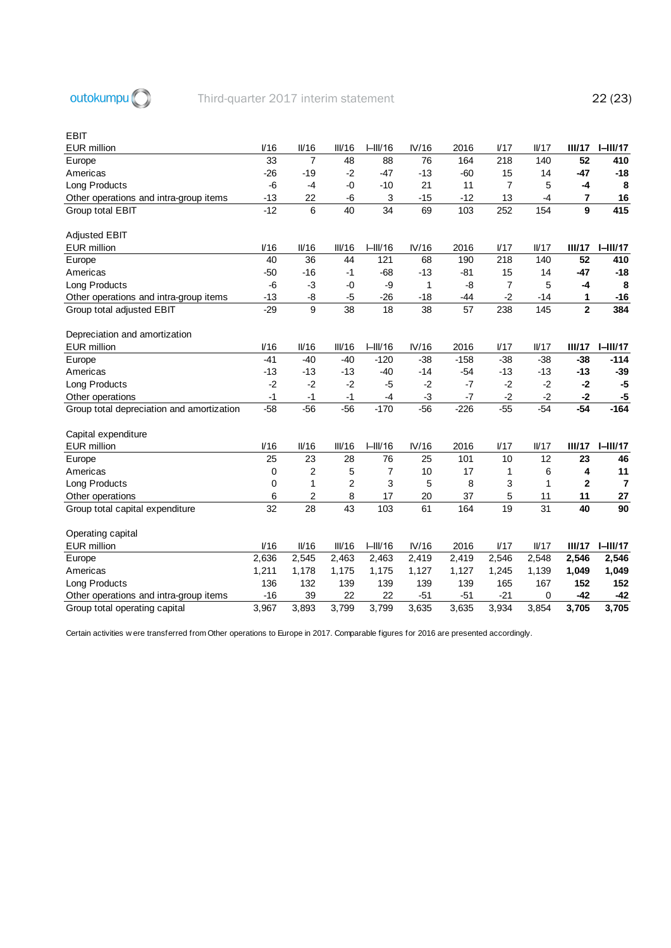

#### EBIT

| <b>EUR</b> million                        | I/16  | II/16          | III/16 | $I-III/16$ | IV/16 | 2016            | 1/17            | $I\!I/17$ | III/17         | $I-III/17$      |
|-------------------------------------------|-------|----------------|--------|------------|-------|-----------------|-----------------|-----------|----------------|-----------------|
| Europe                                    | 33    | $\overline{7}$ | 48     | 88         | 76    | 164             | 218             | 140       | 52             | 410             |
| Americas                                  | $-26$ | $-19$          | $-2$   | $-47$      | $-13$ | $-60$           | 15              | 14        | $-47$          | $-18$           |
| Long Products                             | $-6$  | -4             | $-0$   | $-10$      | 21    | 11              | $\overline{7}$  | 5         | $-4$           | 8               |
| Other operations and intra-group items    | $-13$ | 22             | -6     | 3          | $-15$ | $-12$           | 13              | $-4$      | 7              | 16              |
| Group total EBIT                          | $-12$ | 6              | 40     | 34         | 69    | 103             | 252             | 154       | 9              | 415             |
|                                           |       |                |        |            |       |                 |                 |           |                |                 |
| <b>Adjusted EBIT</b>                      |       |                |        |            |       |                 |                 |           |                |                 |
| <b>EUR</b> million                        | V16   | II/16          | III/16 | $I-III/16$ | IV/16 | 2016            | 1/17            | $I\!I/17$ | III/17         | $I - II I/17$   |
| Europe                                    | 40    | 36             | 44     | 121        | 68    | 190             | 218             | 140       | 52             | 410             |
| Americas                                  | $-50$ | $-16$          | -1     | $-68$      | $-13$ | $-81$           | 15              | 14        | $-47$          | $-18$           |
| Long Products                             | -6    | -3             | -0     | -9         | 1     | -8              | 7               | 5         | -4             | 8               |
| Other operations and intra-group items    | $-13$ | -8             | $-5$   | $-26$      | $-18$ | $-44$           | $-2$            | -14       | 1              | $-16$           |
| Group total adjusted EBIT                 | $-29$ | 9              | 38     | 18         | 38    | $\overline{57}$ | 238             | 145       | $\overline{2}$ | 384             |
|                                           |       |                |        |            |       |                 |                 |           |                |                 |
| Depreciation and amortization             |       |                |        |            |       |                 |                 |           |                |                 |
| <b>EUR</b> million                        | V16   | II/16          | III/16 | $I-III/16$ | IV/16 | 2016            | 1/17            | $I\!I/17$ | III/17         | $I-III/17$      |
| Europe                                    | $-41$ | $-40$          | $-40$  | $-120$     | $-38$ | $-158$          | $-38$           | $-38$     | $-38$          | $-114$          |
| Americas                                  | $-13$ | $-13$          | $-13$  | $-40$      | $-14$ | $-54$           | $-13$           | $-13$     | $-13$          | $-39$           |
| Long Products                             | $-2$  | $-2$           | $-2$   | -5         | $-2$  | $-7$            | $-2$            | $-2$      | $-2$           | -5              |
| Other operations                          | $-1$  | $-1$           | $-1$   | $-4$       | $-3$  | $-7$            | $-2$            | $-2$      | $-2$           | $-5$            |
| Group total depreciation and amortization | $-58$ | $-56$          | $-56$  | $-170$     | $-56$ | $-226$          | $-55$           | $-54$     | $-54$          | $-164$          |
|                                           |       |                |        |            |       |                 |                 |           |                |                 |
| Capital expenditure                       |       |                |        |            |       |                 |                 |           |                |                 |
| <b>EUR</b> million                        | I/16  | II/16          | III/16 | $I-III/16$ | IV/16 | 2016            | 1/17            | $I\!I/17$ | III/17         | $I=III/17$      |
| Europe                                    | 25    | 23             | 28     | 76         | 25    | 101             | 10              | 12        | 23             | 46              |
| Americas                                  | 0     | $\overline{2}$ | 5      | 7          | 10    | 17              | 1               | 6         | 4              | 11              |
| Long Products                             | 0     | 1              | 2      | 3          | 5     | 8               | 3               | 1         | $\mathbf{2}$   | $\overline{7}$  |
| Other operations                          | 6     | $\overline{2}$ | 8      | 17         | 20    | 37              | 5               | 11        | 11             | 27              |
| Group total capital expenditure           | 32    | 28             | 43     | 103        | 61    | 164             | $\overline{19}$ | 31        | 40             | $\overline{90}$ |
|                                           |       |                |        |            |       |                 |                 |           |                |                 |
| Operating capital                         |       |                |        |            |       |                 |                 |           |                |                 |
| <b>EUR</b> million                        | V16   | II/16          | III/16 | $I-III/16$ | IV/16 | 2016            | 1/17            | $I\!I/17$ | III/17         | $I - II I/17$   |
| Europe                                    | 2,636 | 2,545          | 2,463  | 2,463      | 2,419 | 2,419           | 2,546           | 2,548     | 2,546          | 2,546           |
| Americas                                  | 1,211 | 1,178          | 1,175  | 1,175      | 1,127 | 1,127           | 1,245           | 1,139     | 1,049          | 1,049           |
| Long Products                             | 136   | 132            | 139    | 139        | 139   | 139             | 165             | 167       | 152            | 152             |
| Other operations and intra-group items    | $-16$ | 39             | 22     | 22         | $-51$ | $-51$           | $-21$           | 0         | $-42$          | $-42$           |
| Group total operating capital             | 3,967 | 3,893          | 3,799  | 3,799      | 3,635 | 3,635           | 3,934           | 3,854     | 3,705          | 3,705           |

Certain activities w ere transferred from Other operations to Europe in 2017. Comparable figures for 2016 are presented accordingly.